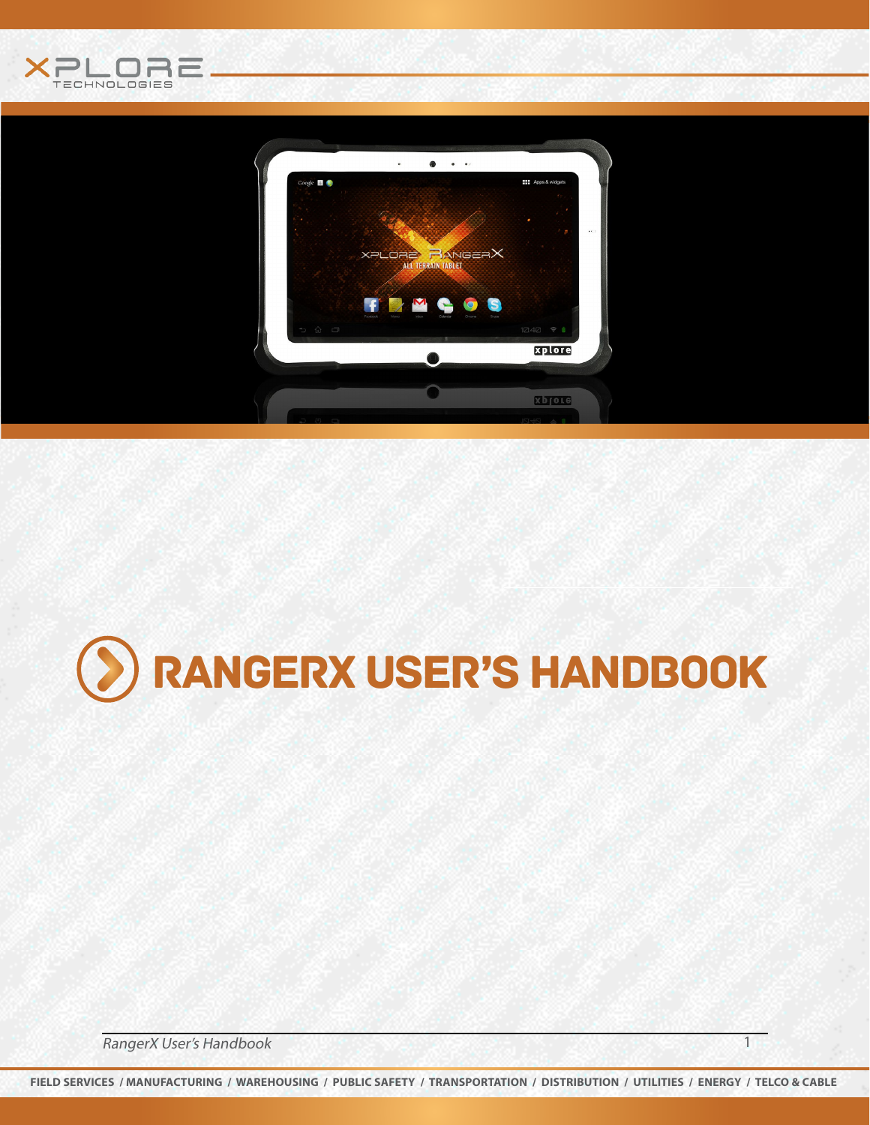



# Rangerx user's handbook

RangerX User's Handbook 1999 and 1999 and 1999 and 1999 and 1999 and 1999 and 1999 and 1999 and 1999 and 1999 and 1999 and 1999 and 1999 and 1999 and 1999 and 1999 and 1999 and 1999 and 1999 and 1999 and 1999 and 1999 and

**FIELD SERVICES / MANUFACTURING / WAREHOUSING / PUBLIC SAFETY / TRANSPORTATION / DISTRIBUTION / UTILITIES / ENERGY / TELCO & CABLE**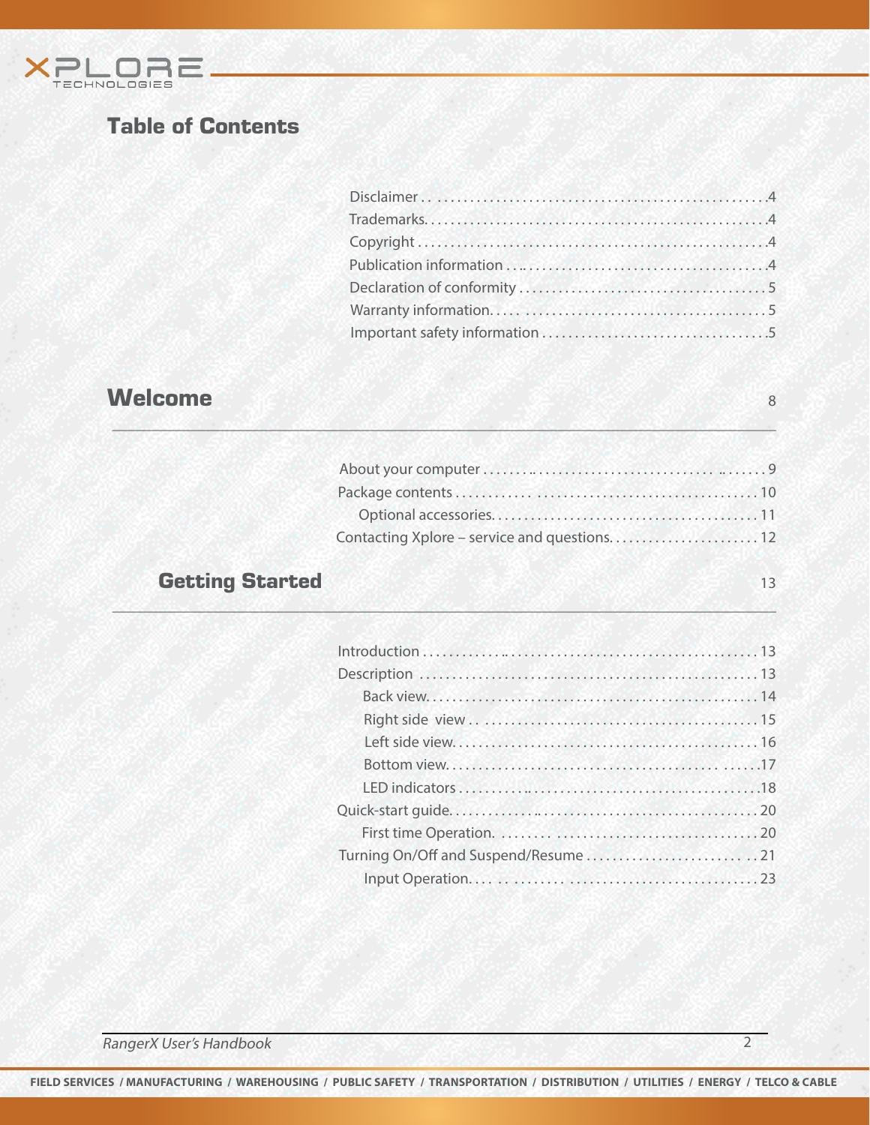

# Table of Contents

# welcome **8**

| Contacting Xplore – service and questions 12 |  |
|----------------------------------------------|--|

 $\mathbb{Z} \times \mathbb{Z}$  ,  $\mathbb{Z} \times \mathbb{Z}$  ,  $\mathbb{Z} \times \mathbb{Z}$  ,  $\mathbb{Z} \times \mathbb{Z}$  ,  $\mathbb{Z} \times \mathbb{Z}$  ,  $\mathbb{Z} \times \mathbb{Z}$  ,  $\mathbb{Z} \times \mathbb{Z}$  ,  $\mathbb{Z} \times \mathbb{Z}$  ,  $\mathbb{Z} \times \mathbb{Z}$  ,  $\mathbb{Z} \times \mathbb{Z}$  ,  $\mathbb{Z} \times \mathbb{Z}$  ,  $\mathbb{Z} \times \mathbb$ 

\_\_\_\_\_\_\_\_\_\_\_\_\_\_\_\_\_\_\_\_\_\_\_\_\_\_\_\_\_\_\_\_\_\_\_\_\_\_\_\_\_\_\_\_\_\_\_\_\_\_\_\_\_\_\_\_\_\_\_\_\_\_\_\_\_\_\_\_\_\_\_\_\_\_\_\_\_\_\_\_\_\_\_\_\_

# Getting Started 13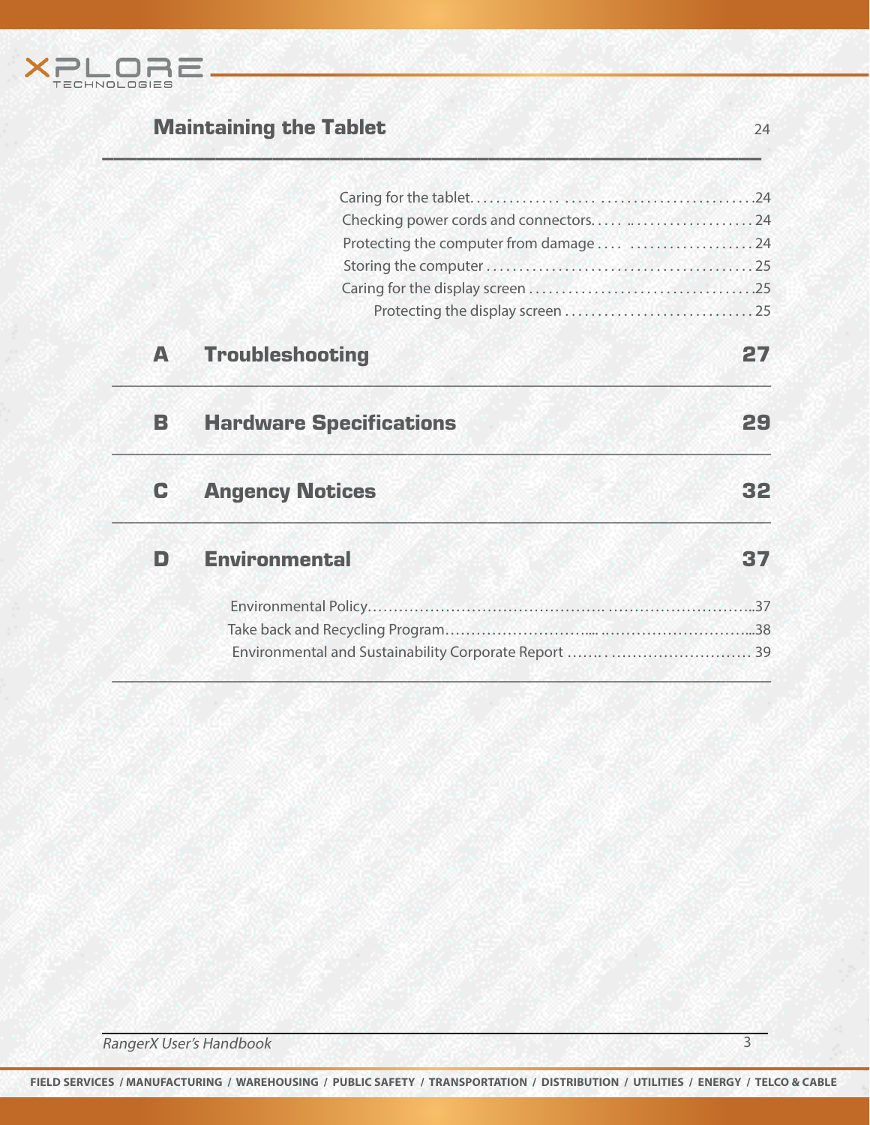

# **Maintaining the Tablet 24 Contract 24 Contract 24 Contract 24 Contract 24 Contract 24 Contract 24 Contract 24**

|   | Checking power cords and connectors  24 |    |
|---|-----------------------------------------|----|
|   | Protecting the computer from damage  24 |    |
|   |                                         |    |
|   |                                         |    |
|   |                                         |    |
| А | <b>Troubleshooting</b>                  | 27 |
| В | <b>Hardware Specifications</b>          | 29 |
| C | <b>Angency Notices</b>                  |    |
| n | <b>Environmental</b>                    |    |
|   |                                         |    |
|   |                                         |    |
|   |                                         |    |

\_\_\_\_\_\_\_\_\_\_\_\_\_\_\_\_\_\_\_\_\_\_\_\_\_\_\_\_\_\_\_\_\_\_\_\_\_\_\_\_\_\_\_\_\_\_\_\_\_\_\_\_\_\_\_\_\_\_

**FIELD SERVICES / MANUFACTURING / WAREHOUSING / PUBLIC SAFETY / TRANSPORTATION / DISTRIBUTION / UTILITIES / ENERGY / TELCO & CABLE**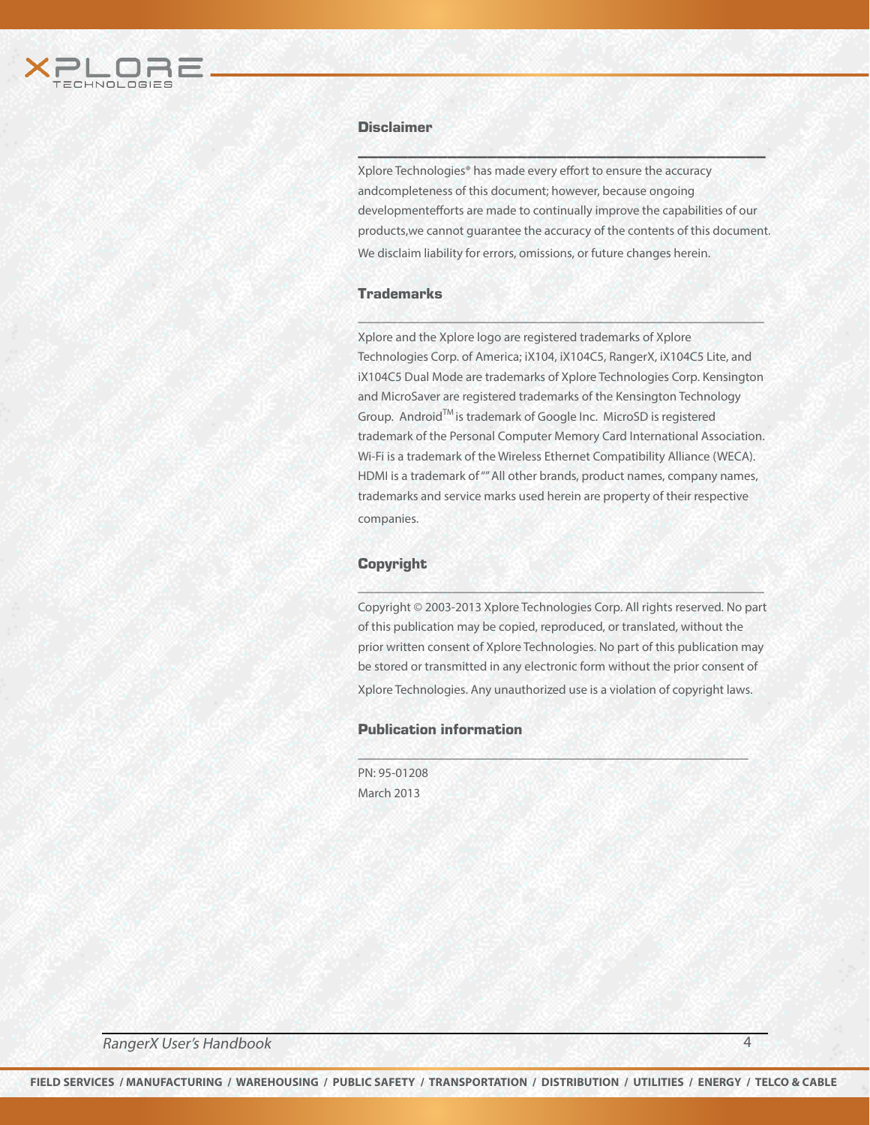

#### **Disclaimer**

Xplore Technologies® has made every effort to ensure the accuracy andcompleteness of this document; however, because ongoing developmentefforts are made to continually improve the capabilities of our products,we cannot guarantee the accuracy of the contents of this document. We disclaim liability for errors, omissions, or future changes herein.

 $\mathcal{L}(\mathcal{L}(\mathcal{L}(\mathcal{L}(\mathcal{L}(\mathcal{L}(\mathcal{L}(\mathcal{L}(\mathcal{L}(\mathcal{L}(\mathcal{L}(\mathcal{L}(\mathcal{L}(\mathcal{L}(\mathcal{L}(\mathcal{L}(\mathcal{L}(\mathcal{L}(\mathcal{L}(\mathcal{L}(\mathcal{L}(\mathcal{L}(\mathcal{L}(\mathcal{L}(\mathcal{L}(\mathcal{L}(\mathcal{L}(\mathcal{L}(\mathcal{L}(\mathcal{L}(\mathcal{L}(\mathcal{L}(\mathcal{L}(\mathcal{L}(\mathcal{L}(\mathcal{L}(\mathcal{$ 

#### **Trademarks**

Xplore and the Xplore logo are registered trademarks of Xplore Technologies Corp. of America; iX104, iX104C5, RangerX, iX104C5 Lite, and iX104C5 Dual Mode are trademarks of Xplore Technologies Corp. Kensington and MicroSaver are registered trademarks of the Kensington Technology Group. AndroidTM is trademark of Google Inc. MicroSD is registered trademark of the Personal Computer Memory Card International Association. Wi-Fi is a trademark of the Wireless Ethernet Compatibility Alliance (WECA). HDMI is a trademark of "" All other brands, product names, company names, trademarks and service marks used herein are property of their respective companies.

\_\_\_\_\_\_\_\_\_\_\_\_\_\_\_\_\_\_\_\_\_\_\_\_\_\_\_\_\_\_\_\_\_\_\_\_\_\_\_\_\_\_\_\_\_\_\_\_\_\_\_\_

#### **Copyright**

Copyright © 2003-2013 Xplore Technologies Corp. All rights reserved. No part of this publication may be copied, reproduced, or translated, without the prior written consent of Xplore Technologies. No part of this publication may be stored or transmitted in any electronic form without the prior consent of Xplore Technologies. Any unauthorized use is a violation of copyright laws.

\_\_\_\_\_\_\_\_\_\_\_\_\_\_\_\_\_\_\_\_\_\_\_\_\_\_\_\_\_\_\_\_\_\_\_\_\_\_\_\_\_\_\_\_\_\_\_\_\_\_

\_\_\_\_\_\_\_\_\_\_\_\_\_\_\_\_\_\_\_\_\_\_\_\_\_\_\_\_\_\_\_\_\_\_\_\_\_\_\_\_\_\_\_\_\_\_\_\_\_\_\_\_

#### Publication information

PN: 95-01208 March 2013

RangerX User's Handbook 4 and 4 and 4 and 4 and 4 and 4 and 4 and 4 and 4 and 4 and 4 and 4 and 4 and 4 and 4  $\frac{4}{3}$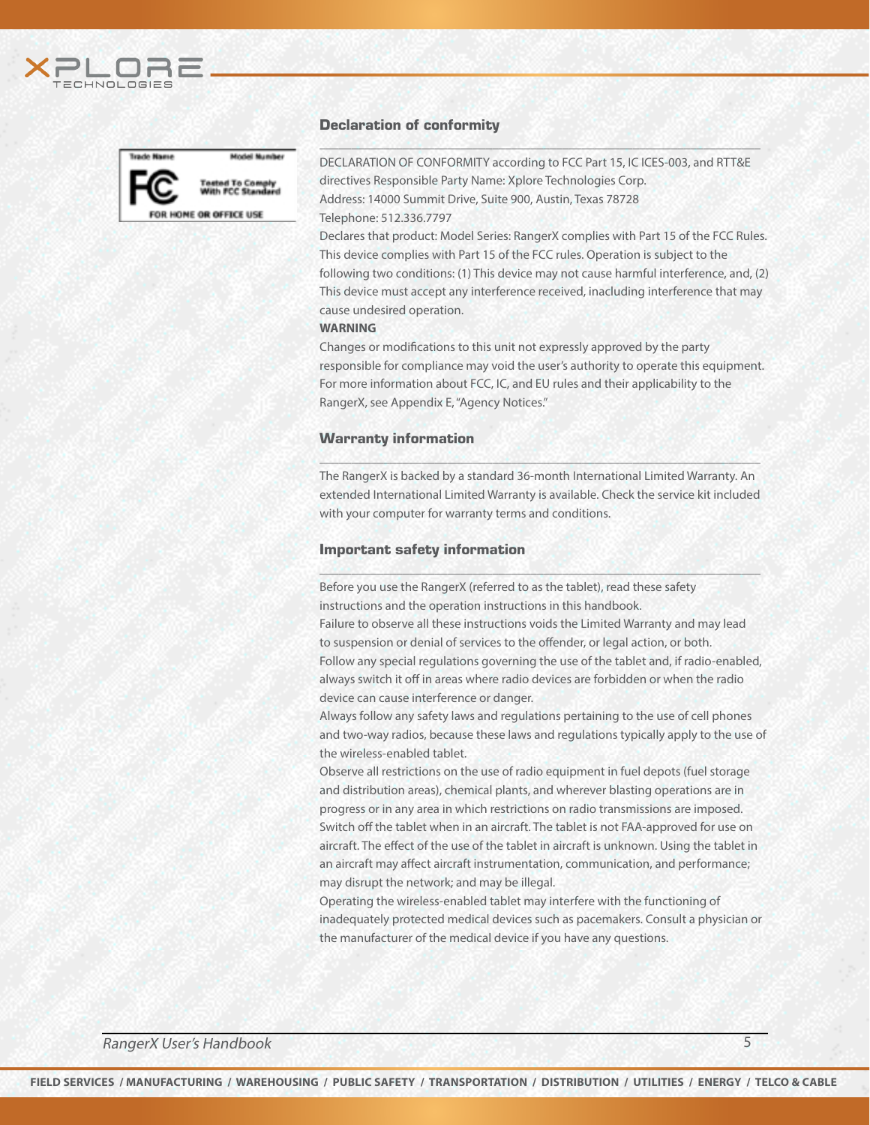



#### Declaration of conformity

DECLARATION OF CONFORMITY according to FCC Part 15, IC ICES-003, and RTT&E directives Responsible Party Name: Xplore Technologies Corp. Address: 14000 Summit Drive, Suite 900, Austin, Texas 78728

\_\_\_\_\_\_\_\_\_\_\_\_\_\_\_\_\_\_\_\_\_\_\_\_\_\_\_\_\_\_\_\_\_\_\_\_\_\_\_\_\_\_\_\_\_\_\_\_\_\_\_\_\_\_\_\_\_\_\_\_\_\_\_\_\_\_\_\_\_

Telephone: 512.336.7797

Declares that product: Model Series: RangerX complies with Part 15 of the FCC Rules. This device complies with Part 15 of the FCC rules. Operation is subject to the following two conditions: (1) This device may not cause harmful interference, and, (2) This device must accept any interference received, inacluding interference that may cause undesired operation.

#### **WARNING**

Changes or modifications to this unit not expressly approved by the party responsible for compliance may void the user's authority to operate this equipment. For more information about FCC, IC, and EU rules and their applicability to the RangerX, see Appendix E, "Agency Notices."

#### Warranty information

The RangerX is backed by a standard 36-month International Limited Warranty. An extended International Limited Warranty is available. Check the service kit included with your computer for warranty terms and conditions.

\_\_\_\_\_\_\_\_\_\_\_\_\_\_\_\_\_\_\_\_\_\_\_\_\_\_\_\_\_\_\_\_\_\_\_\_\_\_\_\_\_\_\_\_\_\_\_\_\_\_\_\_\_\_\_\_\_\_\_\_\_\_\_\_\_\_\_\_\_

\_\_\_\_\_\_\_\_\_\_\_\_\_\_\_\_\_\_\_\_\_\_\_\_\_\_\_\_\_\_\_\_\_\_\_\_\_\_\_\_\_\_\_\_\_\_\_\_\_\_\_\_\_\_\_\_\_\_\_\_\_\_\_\_\_\_\_\_\_

#### Important safety information

Before you use the RangerX (referred to as the tablet), read these safety instructions and the operation instructions in this handbook.

Failure to observe all these instructions voids the Limited Warranty and may lead to suspension or denial of services to the offender, or legal action, or both. Follow any special regulations governing the use of the tablet and, if radio-enabled, always switch it off in areas where radio devices are forbidden or when the radio device can cause interference or danger.

Always follow any safety laws and regulations pertaining to the use of cell phones and two-way radios, because these laws and regulations typically apply to the use of the wireless-enabled tablet.

Observe all restrictions on the use of radio equipment in fuel depots (fuel storage and distribution areas), chemical plants, and wherever blasting operations are in progress or in any area in which restrictions on radio transmissions are imposed. Switch off the tablet when in an aircraft. The tablet is not FAA-approved for use on aircraft. The effect of the use of the tablet in aircraft is unknown. Using the tablet in an aircraft may affect aircraft instrumentation, communication, and performance; may disrupt the network; and may be illegal.

Operating the wireless-enabled tablet may interfere with the functioning of inadequately protected medical devices such as pacemakers. Consult a physician or the manufacturer of the medical device if you have any questions.

RangerX User's Handbook 5 and 5 and 5 and 5 and 5 and 5 and 5 and 5 and 5 and 5 and 5 and 5 and 5 and 5 and 5  $\pm$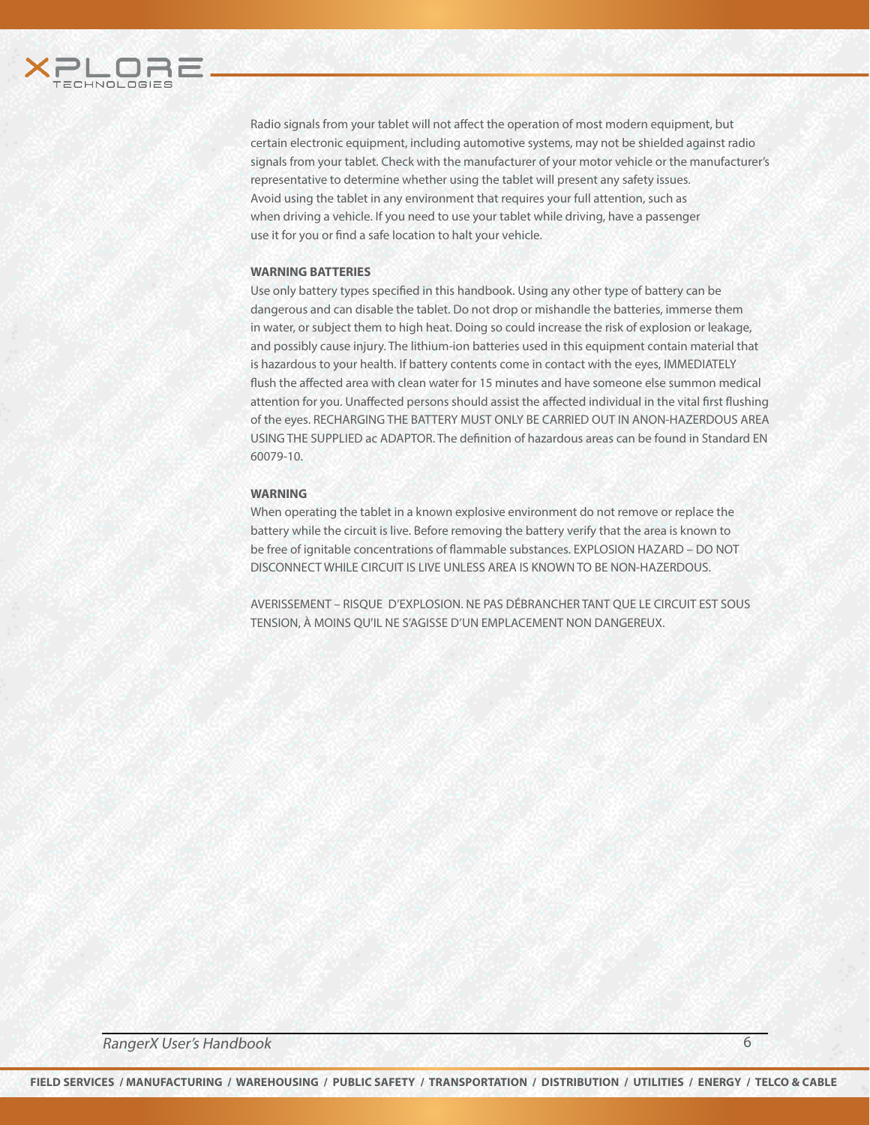

Radio signals from your tablet will not affect the operation of most modern equipment, but certain electronic equipment, including automotive systems, may not be shielded against radio signals from your tablet. Check with the manufacturer of your motor vehicle or the manufacturer's representative to determine whether using the tablet will present any safety issues. Avoid using the tablet in any environment that requires your full attention, such as when driving a vehicle. If you need to use your tablet while driving, have a passenger use it for you or find a safe location to halt your vehicle.

#### **WARNING BATTERIES**

Use only battery types specified in this handbook. Using any other type of battery can be dangerous and can disable the tablet. Do not drop or mishandle the batteries, immerse them in water, or subject them to high heat. Doing so could increase the risk of explosion or leakage, and possibly cause injury. The lithium-ion batteries used in this equipment contain material that is hazardous to your health. If battery contents come in contact with the eyes, IMMEDIATELY flush the affected area with clean water for 15 minutes and have someone else summon medical attention for you. Unaffected persons should assist the affected individual in the vital first flushing of the eyes. RECHARGING THE BATTERY MUST ONLY BE CARRIED OUT IN ANON-HAZERDOUS AREA USING THE SUPPLIED ac ADAPTOR. The definition of hazardous areas can be found in Standard EN 60079-10.

#### **WARNING**

When operating the tablet in a known explosive environment do not remove or replace the battery while the circuit is live. Before removing the battery verify that the area is known to be free of ignitable concentrations of flammable substances. EXPLOSION HAZARD – DO NOT DISCONNECT WHILE CIRCUIT IS LIVE UNLESS AREA IS KNOWN TO BE NON-HAZERDOUS.

AVERISSEMENT – RISQUE D'EXPLOSION. NE PAS DÉBRANCHER TANT QUE LE CIRCUIT EST SOUS TENSION, À MOINS QU'IL NE S'AGISSE D'UN EMPLACEMENT NON DANGEREUX.

RangerX User's Handbook 6

**FIELD SERVICES / MANUFACTURING / WAREHOUSING / PUBLIC SAFETY / TRANSPORTATION / DISTRIBUTION / UTILITIES / ENERGY / TELCO & CABLE**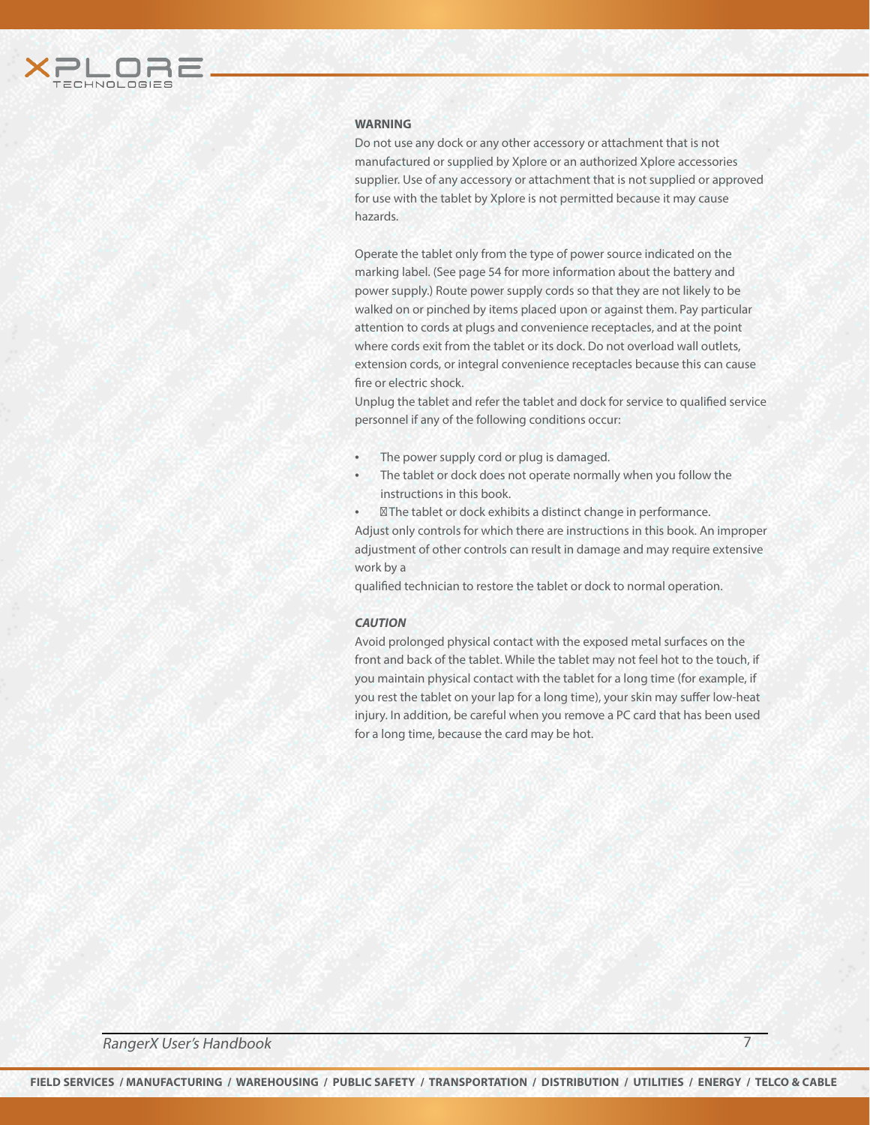

#### **WARNING**

Do not use any dock or any other accessory or attachment that is not manufactured or supplied by Xplore or an authorized Xplore accessories supplier. Use of any accessory or attachment that is not supplied or approved for use with the tablet by Xplore is not permitted because it may cause hazards.

Operate the tablet only from the type of power source indicated on the marking label. (See page 54 for more information about the battery and power supply.) Route power supply cords so that they are not likely to be walked on or pinched by items placed upon or against them. Pay particular attention to cords at plugs and convenience receptacles, and at the point where cords exit from the tablet or its dock. Do not overload wall outlets, extension cords, or integral convenience receptacles because this can cause fire or electric shock.

Unplug the tablet and refer the tablet and dock for service to qualified service personnel if any of the following conditions occur:

- The power supply cord or plug is damaged.
- The tablet or dock does not operate normally when you follow the instructions in this book.

The tablet or dock exhibits a distinct change in performance. Adjust only controls for which there are instructions in this book. An improper adjustment of other controls can result in damage and may require extensive work by a

qualified technician to restore the tablet or dock to normal operation.

#### *CAUTION*

Avoid prolonged physical contact with the exposed metal surfaces on the front and back of the tablet. While the tablet may not feel hot to the touch, if you maintain physical contact with the tablet for a long time (for example, if you rest the tablet on your lap for a long time), your skin may suffer low-heat injury. In addition, be careful when you remove a PC card that has been used for a long time, because the card may be hot.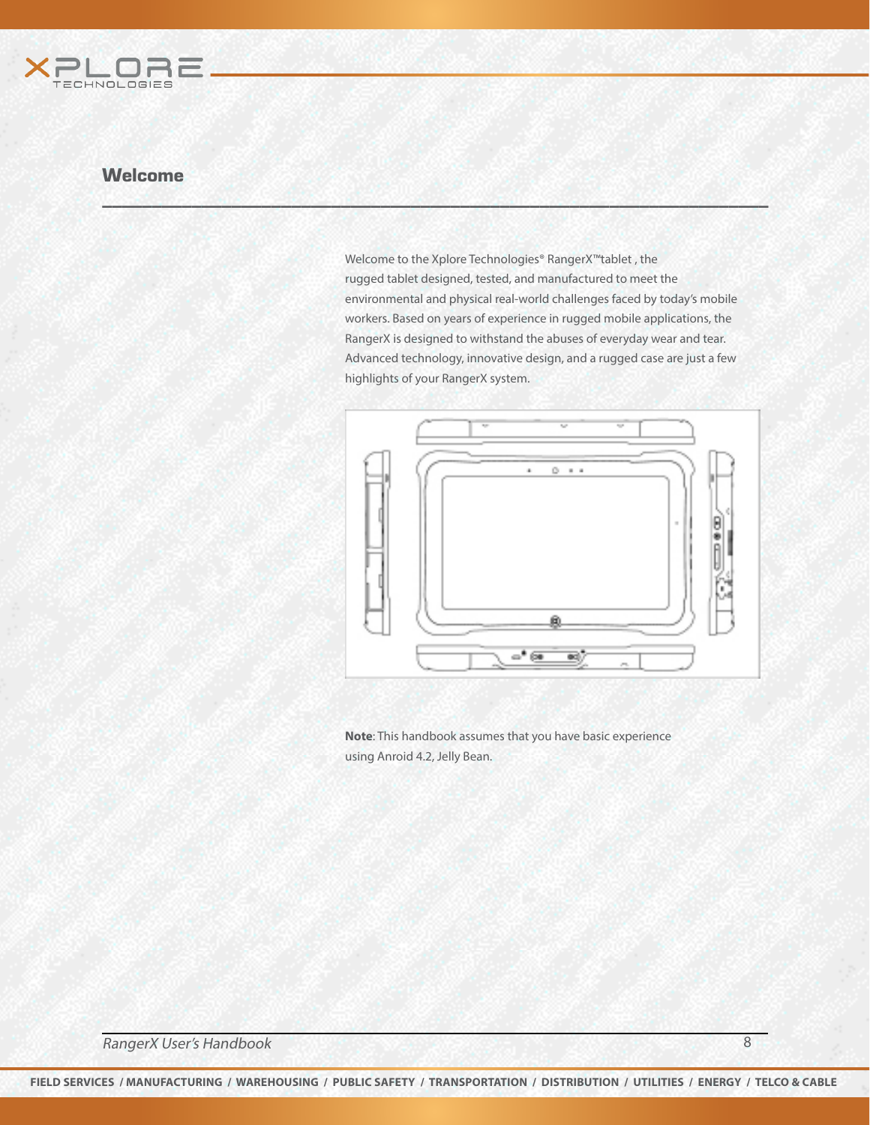

Welcome to the Xplore Technologies® RangerX™tablet , the rugged tablet designed, tested, and manufactured to meet the environmental and physical real-world challenges faced by today's mobile workers. Based on years of experience in rugged mobile applications, the RangerX is designed to withstand the abuses of everyday wear and tear. Advanced technology, innovative design, and a rugged case are just a few highlights of your RangerX system.

\_\_\_\_\_\_\_\_\_\_\_\_\_\_\_\_\_\_\_\_\_\_\_\_\_\_\_\_\_\_\_\_\_\_\_\_\_\_\_\_\_\_\_\_\_\_\_\_\_\_\_\_\_\_\_\_\_\_\_\_\_\_\_\_\_\_\_



**Note**: This handbook assumes that you have basic experience using Anroid 4.2, Jelly Bean.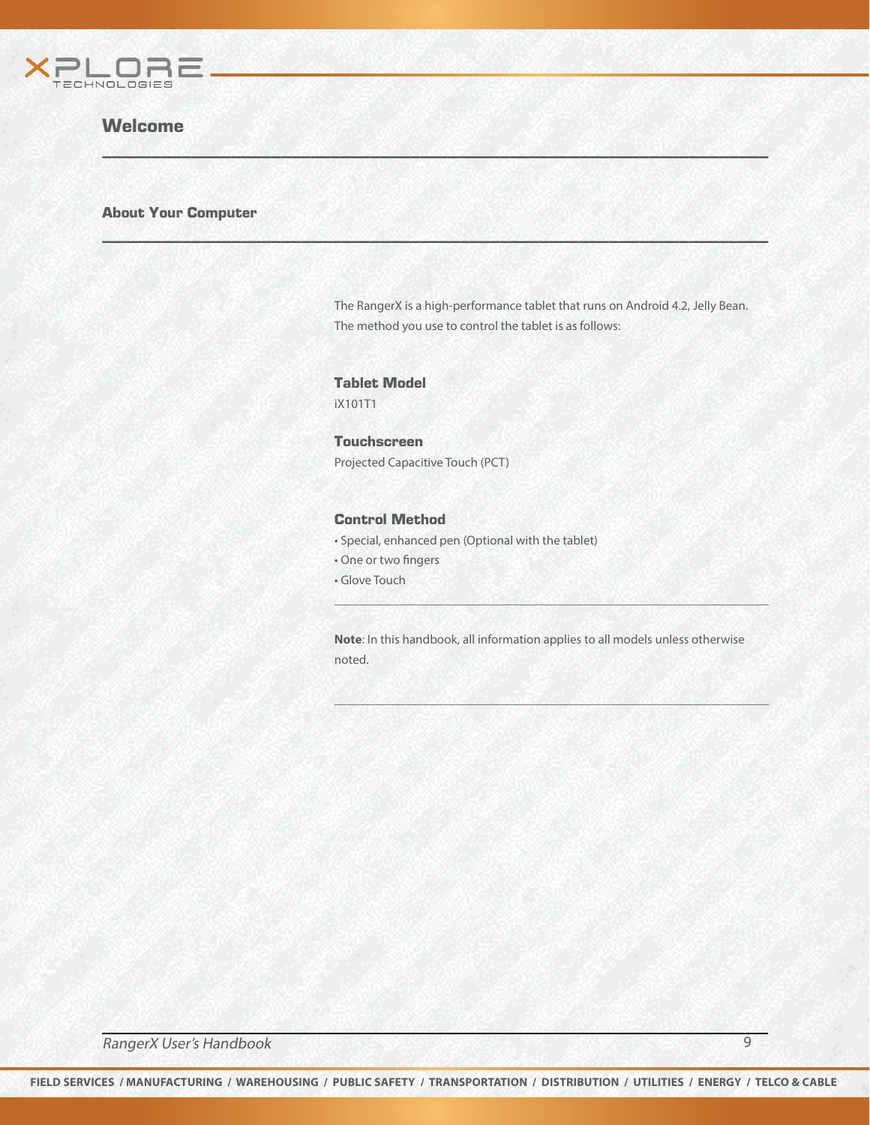

#### About Your Computer

The RangerX is a high-performance tablet that runs on Android 4.2, Jelly Bean. The method you use to control the tablet is as follows:

#### Tablet Model iX101T1

**Touchscreen** Projected Capacitive Touch (PCT)

\_\_\_\_\_\_\_\_\_\_\_\_\_\_\_\_\_\_\_\_\_\_\_\_\_\_\_\_\_\_\_\_\_\_\_\_\_\_\_\_\_\_\_\_\_\_\_\_\_\_\_\_\_\_\_\_\_\_\_\_\_\_\_\_\_\_\_

 $W \subseteq M$  , we have a set of  $M$  , and  $M$  , and  $M$  , and  $M$  , and  $M$  , and  $M$  , and  $M$ 

#### Control Method

- Special, enhanced pen (Optional with the tablet)
- One or two fingers
- Glove Touch

**Note**: In this handbook, all information applies to all models unless otherwise noted.

 $\mu$  , and the set of the set of the set of the set of the set of the set of the set of the set of the set of the set of the set of the set of the set of the set of the set of the set of the set of the set of the set of t

\_\_\_\_\_\_\_\_\_\_\_\_\_\_\_\_\_\_\_\_\_\_\_\_\_\_\_\_\_\_\_\_\_\_\_\_\_\_\_\_\_\_\_\_\_\_\_\_\_\_\_\_\_\_\_\_\_\_\_\_\_\_\_\_\_\_\_\_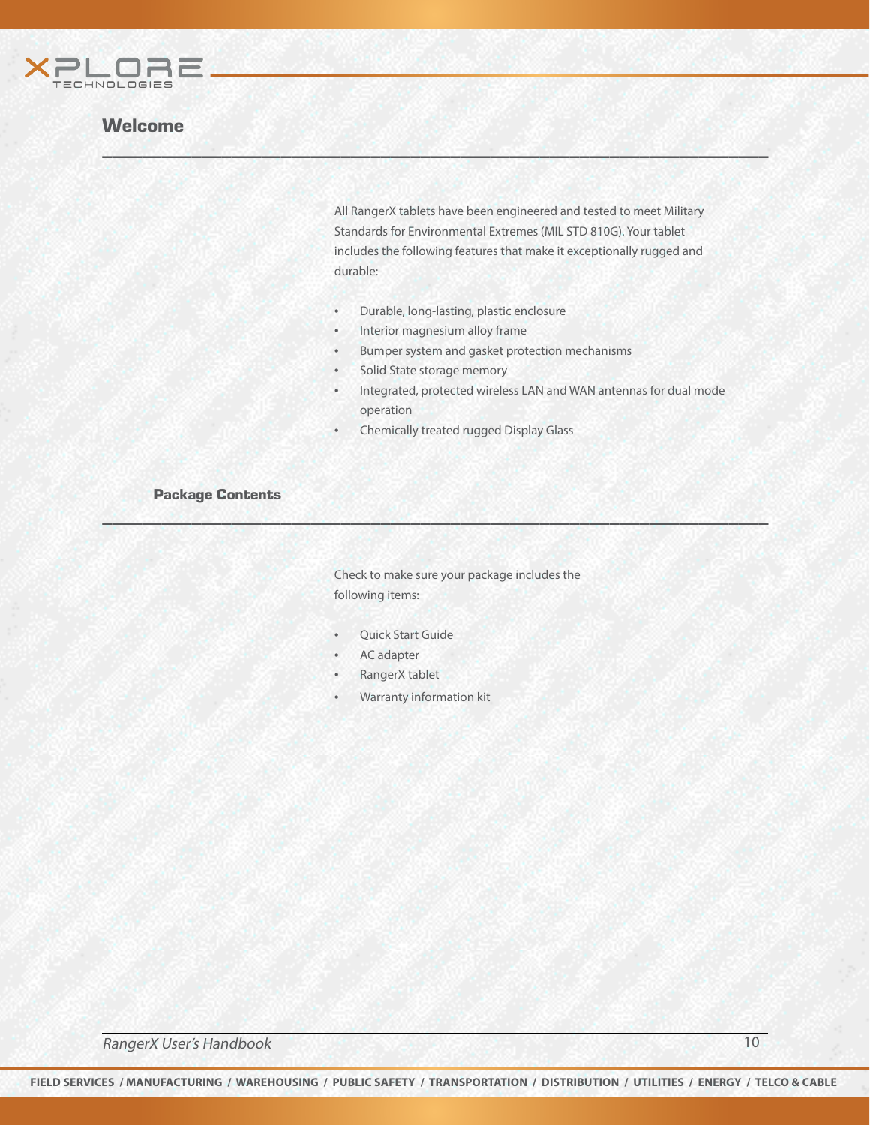

All RangerX tablets have been engineered and tested to meet Military Standards for Environmental Extremes (MIL STD 810G). Your tablet includes the following features that make it exceptionally rugged and durable:

- Durable, long-lasting, plastic enclosure
- Interior magnesium alloy frame

 $W \subseteq M$  , we have a set of  $M$  , and  $M$  , and  $M$  , and  $M$  , and  $M$  , and  $M$  , and  $M$ 

- Bumper system and gasket protection mechanisms
- Solid State storage memory
- Integrated, protected wireless LAN and WAN antennas for dual mode operation
- Chemically treated rugged Display Glass

\_\_\_\_\_\_\_\_\_\_\_\_\_\_\_\_\_\_\_\_\_\_\_\_\_\_\_\_\_\_\_\_\_\_\_\_\_\_\_\_\_\_\_\_\_\_\_\_\_\_\_\_\_\_\_\_\_\_\_\_\_\_\_\_\_\_\_

#### Package Contents

Check to make sure your package includes the following items:

- Quick Start Guide
- AC adapter
- RangerX tablet
- Warranty information kit

RangerX User's Handbook 10 and 10 and 20 and 20 and 20 and 20 and 20 and 20 and 20 and 20 and 20 and 20 and 20 and 20 and 20 and 20 and 20 and 20 and 20 and 20 and 20 and 20 and 20 and 20 and 20 and 20 and 20 and 20 and 20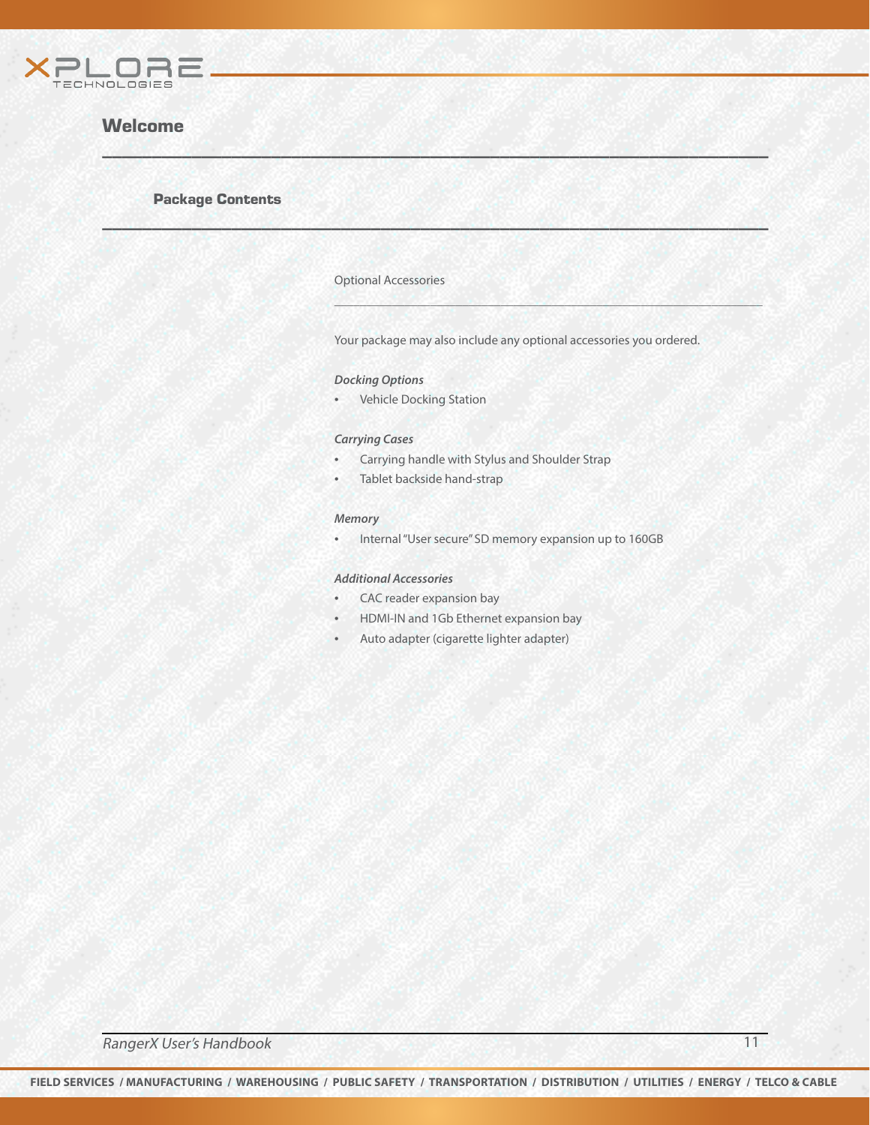

#### Package Contents

#### Optional Accessories

 $W \subseteq M$  , we have a set of  $M$  , and  $M$  , and  $M$  , and  $M$  , and  $M$  , and  $M$  , and  $M$ 

\_\_\_\_\_\_\_\_\_\_\_\_\_\_\_\_\_\_\_\_\_\_\_\_\_\_\_\_\_\_\_\_\_\_\_\_\_\_\_\_\_\_\_\_\_\_\_\_\_\_\_\_\_\_\_\_\_\_\_\_\_\_\_\_\_\_\_

Your package may also include any optional accessories you ordered.

\_\_\_\_\_\_\_\_\_\_\_\_\_\_\_\_\_\_\_\_\_\_\_\_\_\_\_\_\_\_\_\_\_\_\_\_\_\_\_\_\_\_\_\_\_\_\_\_\_\_\_\_\_\_\_\_\_\_\_\_\_\_\_\_\_\_\_

#### *Docking Options*

• Vehicle Docking Station

#### *Carrying Cases*

- Carrying handle with Stylus and Shoulder Strap
- Tablet backside hand-strap

#### *Memory*

• Internal "User secure" SD memory expansion up to 160GB

#### *Additional Accessories*

- CAC reader expansion bay
- HDMI-IN and 1Gb Ethernet expansion bay
- Auto adapter (cigarette lighter adapter)

**RangerX User's Handbook** 11 and 11 and 11 and 11 and 11 and 11 and 11 and 11 and 11 and 11 and 11 and 11 and 11 and 11 and 11 and 11 and 11 and 11 and 11 and 11 and 11 and 11 and 12 and 12 and 12 and 12 and 12 and 12 and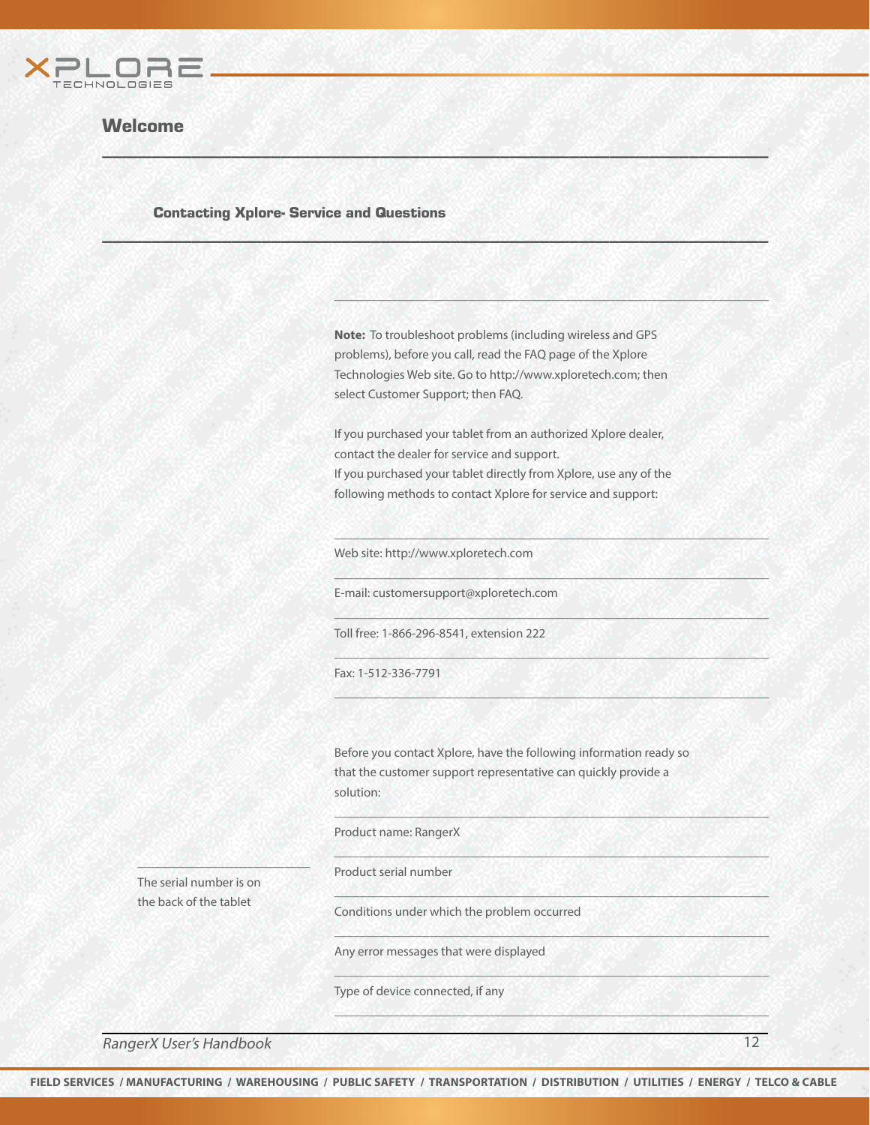

#### Contacting Xplore- Service and Questions

**Note:** To troubleshoot problems (including wireless and GPS problems), before you call, read the FAQ page of the Xplore Technologies Web site. Go to http://www.xploretech.com; then select Customer Support; then FAQ.

\_\_\_\_\_\_\_\_\_\_\_\_\_\_\_\_\_\_\_\_\_\_\_\_\_\_\_\_\_\_\_\_\_\_\_\_\_\_\_\_\_\_\_\_\_\_\_\_\_\_\_\_\_\_\_\_\_\_\_\_\_\_\_\_\_\_\_\_

\_\_\_\_\_\_\_\_\_\_\_\_\_\_\_\_\_\_\_\_\_\_\_\_\_\_\_\_\_\_\_\_\_\_\_\_\_\_\_\_\_\_\_\_\_\_\_\_\_\_\_\_\_\_\_\_\_\_\_\_\_\_\_\_\_\_\_\_

\_\_\_\_\_\_\_\_\_\_\_\_\_\_\_\_\_\_\_\_\_\_\_\_\_\_\_\_\_\_\_\_\_\_\_\_\_\_\_\_\_\_\_\_\_\_\_\_\_\_\_\_\_\_\_\_\_\_\_\_\_\_\_\_\_\_\_\_

\_\_\_\_\_\_\_\_\_\_\_\_\_\_\_\_\_\_\_\_\_\_\_\_\_\_\_\_\_\_\_\_\_\_\_\_\_\_\_\_\_\_\_\_\_\_\_\_\_\_\_\_\_\_\_\_\_\_\_\_\_\_\_\_\_\_\_\_

\_\_\_\_\_\_\_\_\_\_\_\_\_\_\_\_\_\_\_\_\_\_\_\_\_\_\_\_\_\_\_\_\_\_\_\_\_\_\_\_\_\_\_\_\_\_\_\_\_\_\_\_\_\_\_\_\_\_\_\_\_\_\_\_\_\_\_\_

\_\_\_\_\_\_\_\_\_\_\_\_\_\_\_\_\_\_\_\_\_\_\_\_\_\_\_\_\_\_\_\_\_\_\_\_\_\_\_\_\_\_\_\_\_\_\_\_\_\_\_\_\_\_\_\_\_\_\_\_\_\_\_\_\_\_\_\_

\_\_\_\_\_\_\_\_\_\_\_\_\_\_\_\_\_\_\_\_\_\_\_\_\_\_\_\_\_\_\_\_\_\_\_\_\_\_\_\_\_\_\_\_\_\_\_\_\_\_\_\_\_\_\_\_\_\_\_\_\_\_\_\_\_\_\_\_

\_\_\_\_\_\_\_\_\_\_\_\_\_\_\_\_\_\_\_\_\_\_\_\_\_\_\_\_\_\_\_\_\_\_\_\_\_\_\_\_\_\_\_\_\_\_\_\_\_\_\_\_\_\_\_\_\_\_\_\_\_\_\_\_\_\_\_\_

\_\_\_\_\_\_\_\_\_\_\_\_\_\_\_\_\_\_\_\_\_\_\_\_\_\_\_\_\_\_\_\_\_\_\_\_\_\_\_\_\_\_\_\_\_\_\_\_\_\_\_\_\_\_\_\_\_\_\_\_\_\_\_\_\_\_\_\_

\_\_\_\_\_\_\_\_\_\_\_\_\_\_\_\_\_\_\_\_\_\_\_\_\_\_\_\_\_\_\_\_\_\_\_\_\_\_\_\_\_\_\_\_\_\_\_\_\_\_\_\_\_\_\_\_\_\_\_\_\_\_\_\_\_\_\_\_

\_\_\_\_\_\_\_\_\_\_\_\_\_\_\_\_\_\_\_\_\_\_\_\_\_\_\_\_\_\_\_\_\_\_\_\_\_\_\_\_\_\_\_\_\_\_\_\_\_\_\_\_\_\_\_\_\_\_\_\_\_\_\_\_\_\_\_\_

\_\_\_\_\_\_\_\_\_\_\_\_\_\_\_\_\_\_\_\_\_\_\_\_\_\_\_\_\_\_\_\_\_\_\_\_\_\_\_\_\_\_\_\_\_\_\_\_\_\_\_\_\_\_\_\_\_\_\_\_\_\_\_\_\_\_\_\_

If you purchased your tablet from an authorized Xplore dealer, contact the dealer for service and support. If you purchased your tablet directly from Xplore, use any of the following methods to contact Xplore for service and support:

Web site: http://www.xploretech.com

\_\_\_\_\_\_\_\_\_\_\_\_\_\_\_\_\_\_\_\_\_\_\_\_\_\_\_\_\_\_\_\_\_\_\_\_\_\_\_\_\_\_\_\_\_\_\_\_\_\_\_\_\_\_\_\_\_\_\_\_\_\_\_\_\_\_\_

 $W \subseteq M$  , we have a set of  $M$  , and  $M$  , and  $M$  , and  $M$  , and  $M$  , and  $M$  , and  $M$ 

E-mail: customersupport@xploretech.com

Toll free: 1-866-296-8541, extension 222

Fax: 1-512-336-7791

Before you contact Xplore, have the following information ready so that the customer support representative can quickly provide a solution:

Product name: RangerX

Product serial number

The serial number is on the back of the tablet

\_\_\_\_\_\_\_\_\_\_\_\_\_\_\_\_\_\_\_\_\_\_\_\_\_\_\_

Conditions under which the problem occurred

Any error messages that were displayed

Type of device connected, if any

RangerX User's Handbook 12 Second 12 Second 12 Second 12 Second 12 Second 12 Second 12 Second 12 Second 12 Second 12 Second 12 Second 12 Second 12 Second 12 Second 12 Second 12 Second 12 Second 12 Second 12 Second 12 Secon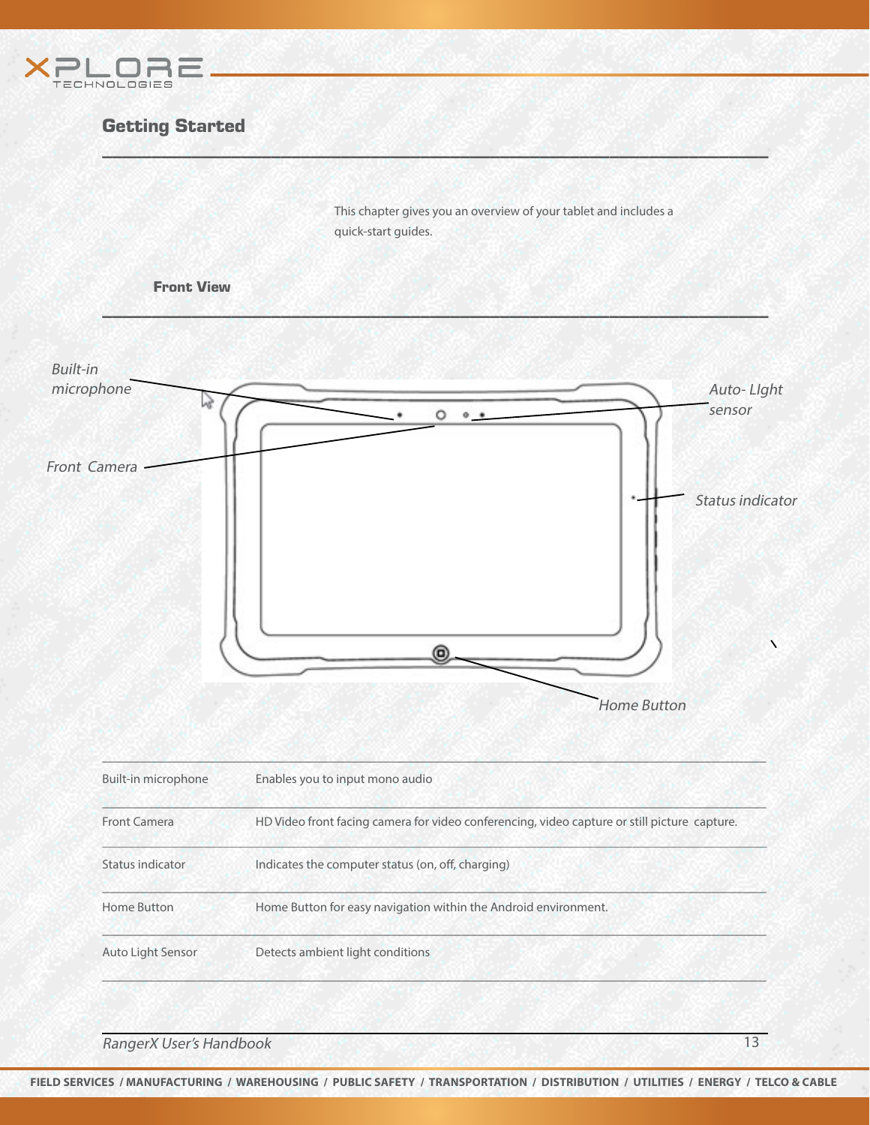



RangerX User's Handbook 13 and 13 and 20 km s and 20 km s and 20 km s and 20 km s and 20 km s and 20 km s and 20 km s and 20 km s and 20 km s and 20 km s and 20 km s and 20 km s and 20 km s and 20 km s and 20 km s and 20 k

**FIELD SERVICES / MANUFACTURING / WAREHOUSING / PUBLIC SAFETY / TRANSPORTATION / DISTRIBUTION / UTILITIES / ENERGY / TELCO & CABLE**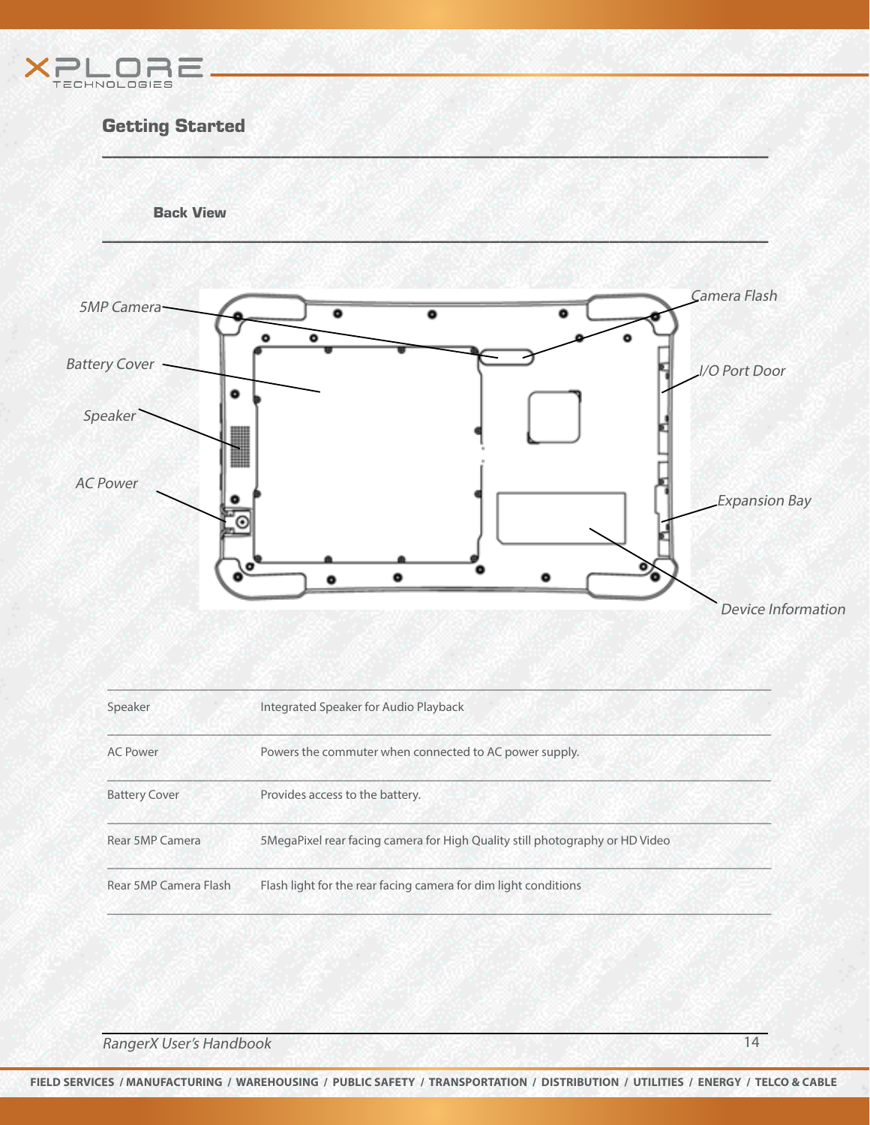



| Speaker               | Integrated Speaker for Audio Playback                                         |  |
|-----------------------|-------------------------------------------------------------------------------|--|
| <b>AC Power</b>       | Powers the commuter when connected to AC power supply.                        |  |
| <b>Battery Cover</b>  | Provides access to the battery.                                               |  |
| Rear 5MP Camera       | 5 MegaPixel rear facing camera for High Quality still photography or HD Video |  |
| Rear 5MP Camera Flash | Flash light for the rear facing camera for dim light conditions               |  |

**RangerX User's Handbook** 14

**FIELD SERVICES / MANUFACTURING / WAREHOUSING / PUBLIC SAFETY / TRANSPORTATION / DISTRIBUTION / UTILITIES / ENERGY / TELCO & CABLE**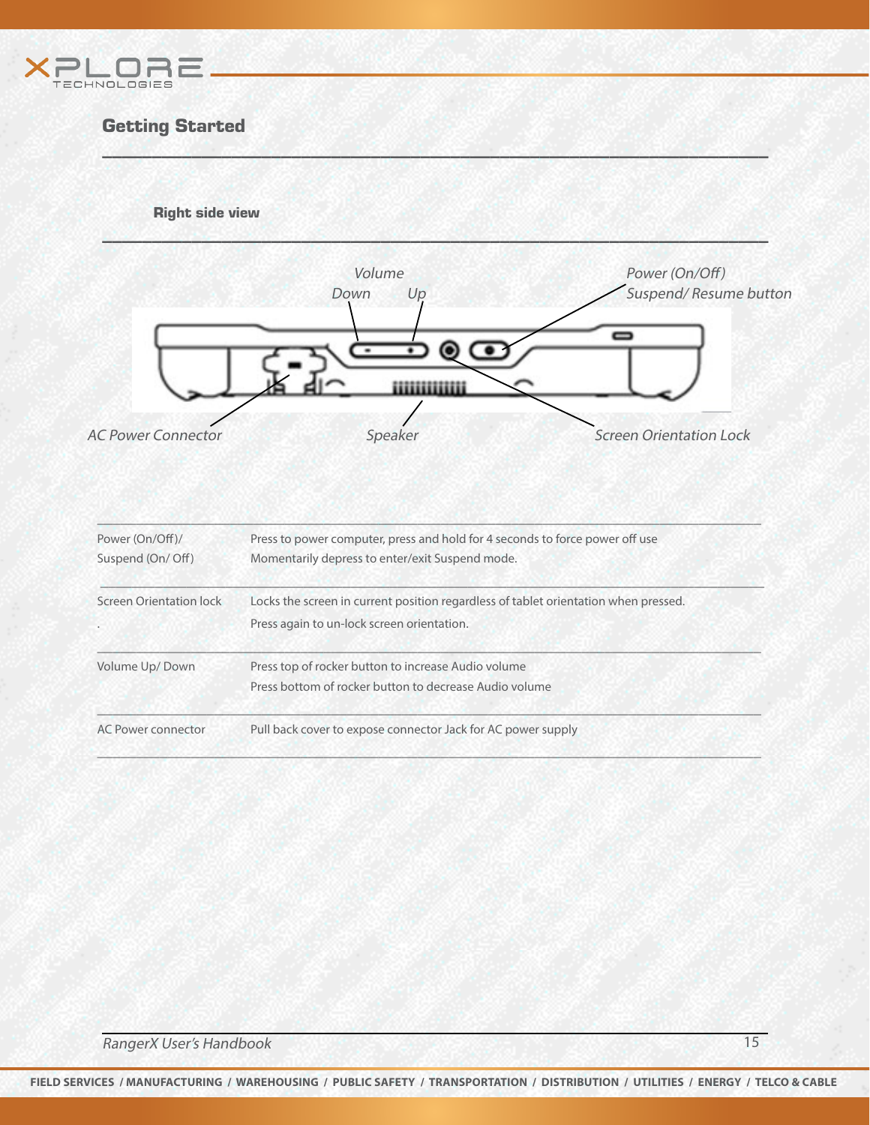

Right side view



 $W \subseteq M$  , we have a set of  $M$  , and  $M$  , and  $M$  , and  $M$  , and  $M$  , and  $M$  , and  $M$ 

| Power (On/Off)/         | Press to power computer, press and hold for 4 seconds to force power off use                                  |  |
|-------------------------|---------------------------------------------------------------------------------------------------------------|--|
| Suspend (On/ Off)       | Momentarily depress to enter/exit Suspend mode.                                                               |  |
| Screen Orientation lock | Locks the screen in current position regardless of tablet orientation when pressed.                           |  |
| $\bullet$               | Press again to un-lock screen orientation.                                                                    |  |
| Volume Up/Down          | Press top of rocker button to increase Audio volume<br>Press bottom of rocker button to decrease Audio volume |  |
| AC Power connector      | Pull back cover to expose connector Jack for AC power supply                                                  |  |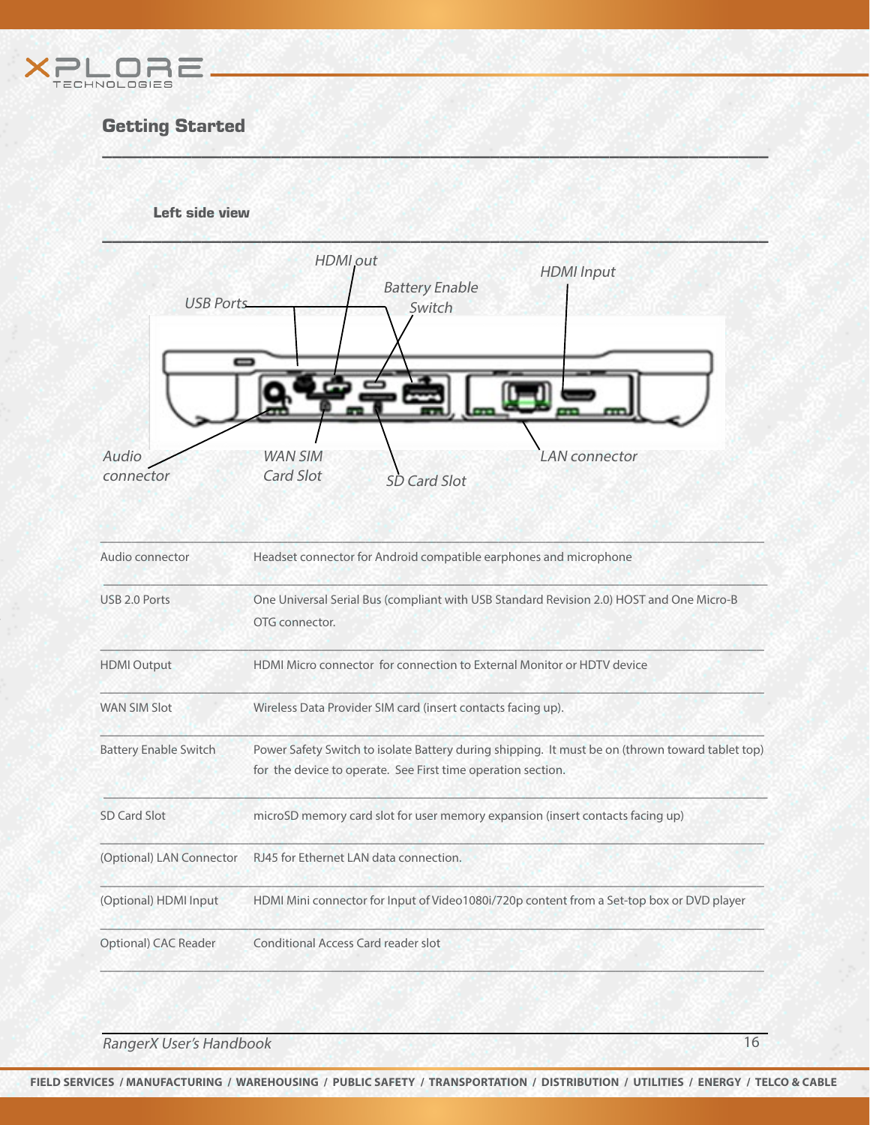





 $W \subseteq M$  , we have a set of  $M$  , and  $M$  , and  $M$  , and  $M$  , and  $M$  , and  $M$  , and  $M$ 

RangerX User's Handbook 16 and 16 and 16 and 16 and 16 and 16 and 16 and 16 and 16 and 16 and 16 and 16 and 16  $\mu$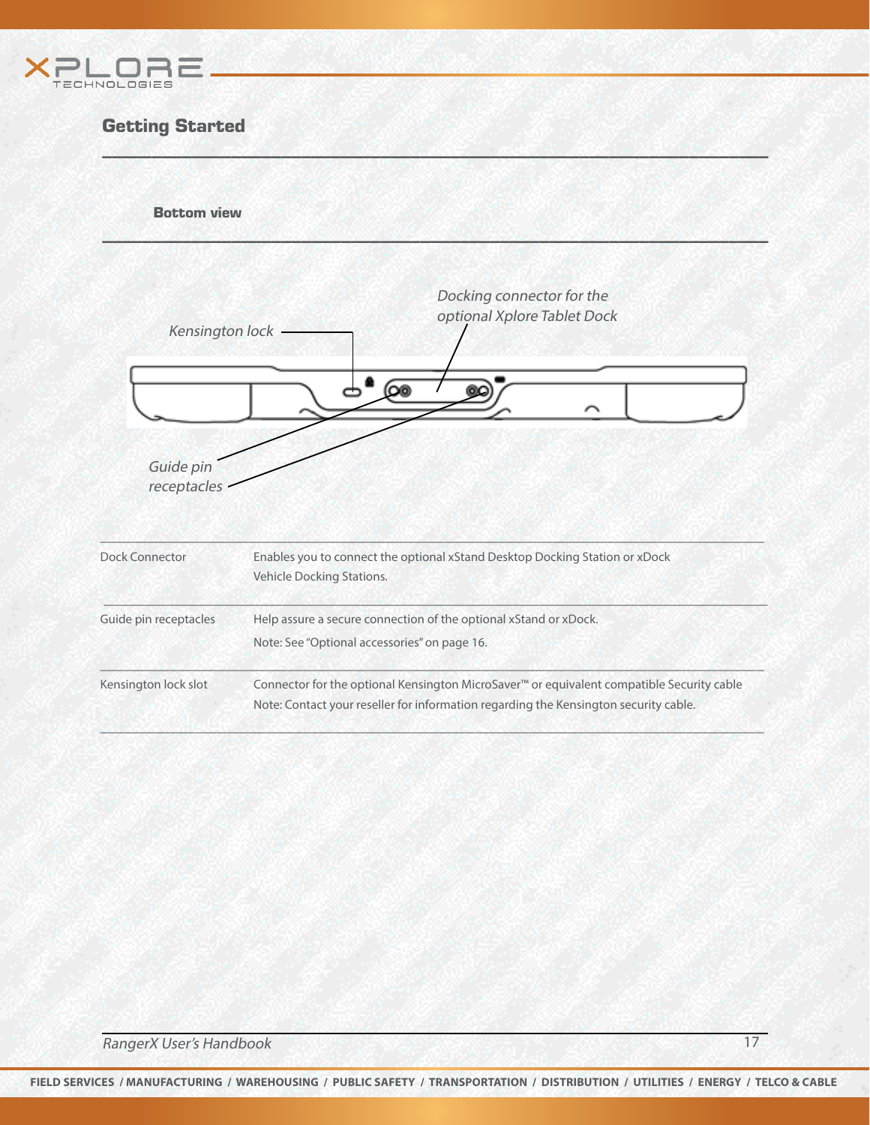

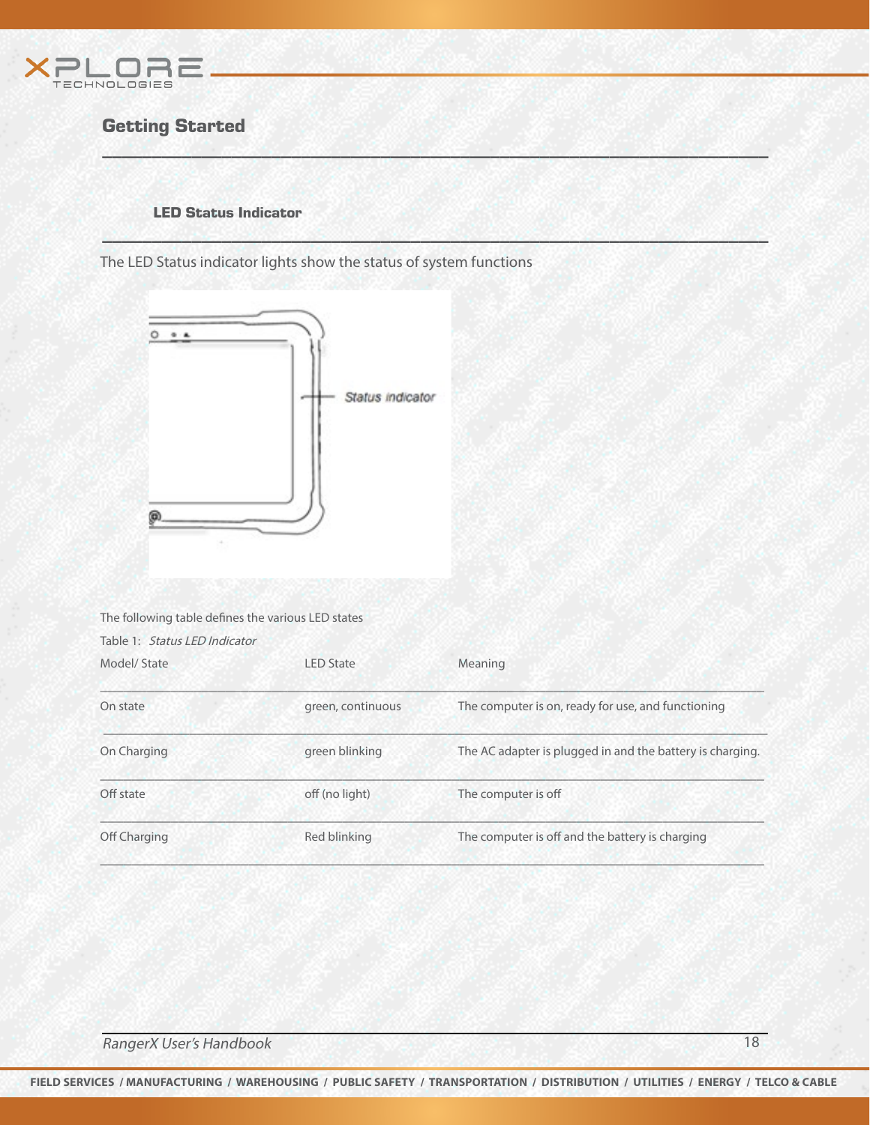

#### LED Status Indicator

The LED Status indicator lights show the status of system functions



| The following table defines the various LED states<br>Table 1: Status LED Indicator |                   |                                                           |
|-------------------------------------------------------------------------------------|-------------------|-----------------------------------------------------------|
| Model/State                                                                         | <b>LED State</b>  | Meaning                                                   |
| On state                                                                            | green, continuous | The computer is on, ready for use, and functioning        |
| On Charging                                                                         | green blinking    | The AC adapter is plugged in and the battery is charging. |
| Off state                                                                           | off (no light)    | The computer is off                                       |
| Off Charging                                                                        | Red blinking      | The computer is off and the battery is charging           |

 $W \subseteq M$  , we have a set of  $M$  , and  $M$  , and  $M$  , and  $M$  , and  $M$  , and  $M$  , and  $M$ 

\_\_\_\_\_\_\_\_\_\_\_\_\_\_\_\_\_\_\_\_\_\_\_\_\_\_\_\_\_\_\_\_\_\_\_\_\_\_\_\_\_\_\_\_\_\_\_\_\_\_\_\_\_\_\_\_\_\_\_\_\_\_\_\_\_\_\_

**RangerX User's Handbook** 18

**FIELD SERVICES / MANUFACTURING / WAREHOUSING / PUBLIC SAFETY / TRANSPORTATION / DISTRIBUTION / UTILITIES / ENERGY / TELCO & CABLE**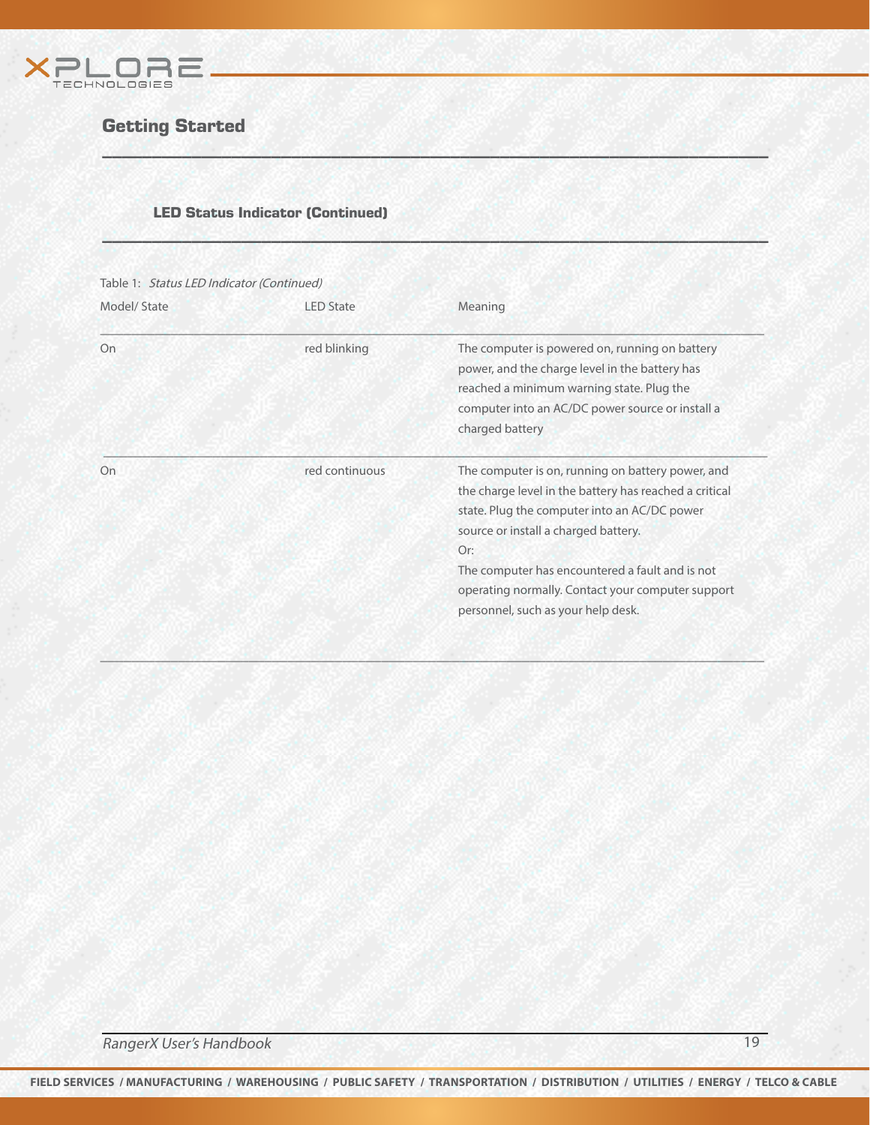

#### LED Status Indicator (Continued)

| Model/State | <b>IFD</b> State | Meaning                                                                                                                                                                                                                                                                                                                                                  |
|-------------|------------------|----------------------------------------------------------------------------------------------------------------------------------------------------------------------------------------------------------------------------------------------------------------------------------------------------------------------------------------------------------|
| On          | red blinking     | The computer is powered on, running on battery<br>power, and the charge level in the battery has<br>reached a minimum warning state. Plug the<br>computer into an AC/DC power source or install a<br>charged battery                                                                                                                                     |
| On          | red continuous   | The computer is on, running on battery power, and<br>the charge level in the battery has reached a critical<br>state. Plug the computer into an AC/DC power<br>source or install a charged battery.<br>Or:<br>The computer has encountered a fault and is not<br>operating normally. Contact your computer support<br>personnel, such as your help desk. |

 $\sim$  , and  $\sim$  , and  $\sim$  , and  $\sim$  , and  $\sim$  , and  $\sim$  , and  $\sim$  , and  $\sim$  , and  $\sim$  , and

 $W \subseteq M$  , we have a set of  $M$  , and  $M$  , and  $M$  , and  $M$  , and  $M$  , and  $M$  , and  $M$ 

\_\_\_\_\_\_\_\_\_\_\_\_\_\_\_\_\_\_\_\_\_\_\_\_\_\_\_\_\_\_\_\_\_\_\_\_\_\_\_\_\_\_\_\_\_\_\_\_\_\_\_\_\_\_\_\_\_\_\_\_\_\_\_\_\_\_\_

**RangerX User's Handbook** 19 and 19 and 19 and 19 and 19 and 19 and 19 and 19 and 19 and 19 and 19 and 19 and 19 and 19 and 19 and 19 and 19 and 19 and 19 and 19 and 19 and 19 and 19 and 19 and 19 and 19 and 19 and 19 and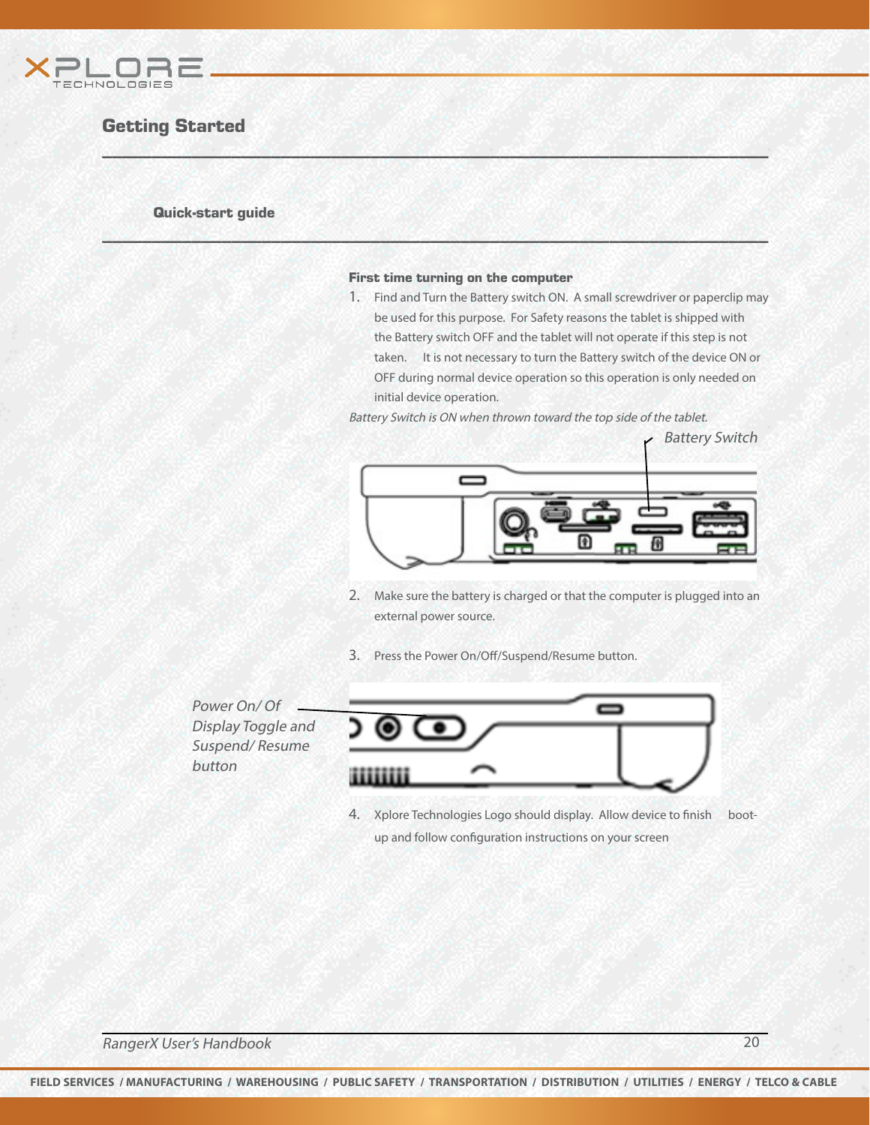

#### Quick-start guide

#### First time turning on the computer

 $W \subseteq M$  , we have a set of  $M$  , and  $M$  , and  $M$  , and  $M$  , and  $M$  , and  $M$  , and  $M$ 

\_\_\_\_\_\_\_\_\_\_\_\_\_\_\_\_\_\_\_\_\_\_\_\_\_\_\_\_\_\_\_\_\_\_\_\_\_\_\_\_\_\_\_\_\_\_\_\_\_\_\_\_\_\_\_\_\_\_\_\_\_\_\_\_\_\_\_

1. Find and Turn the Battery switch ON. A small screwdriver or paperclip may be used for this purpose. For Safety reasons the tablet is shipped with the Battery switch OFF and the tablet will not operate if this step is not taken. It is not necessary to turn the Battery switch of the device ON or OFF during normal device operation so this operation is only needed on initial device operation.

Battery Switch is ON when thrown toward the top side of the tablet.



- 2. Make sure the battery is charged or that the computer is plugged into an external power source.
- 3. Press the Power On/Off/Suspend/Resume button.

Power On/ Of Display Toggle and Suspend/ Resume button



4. Xplore Technologies Logo should display. Allow device to finish bootup and follow configuration instructions on your screen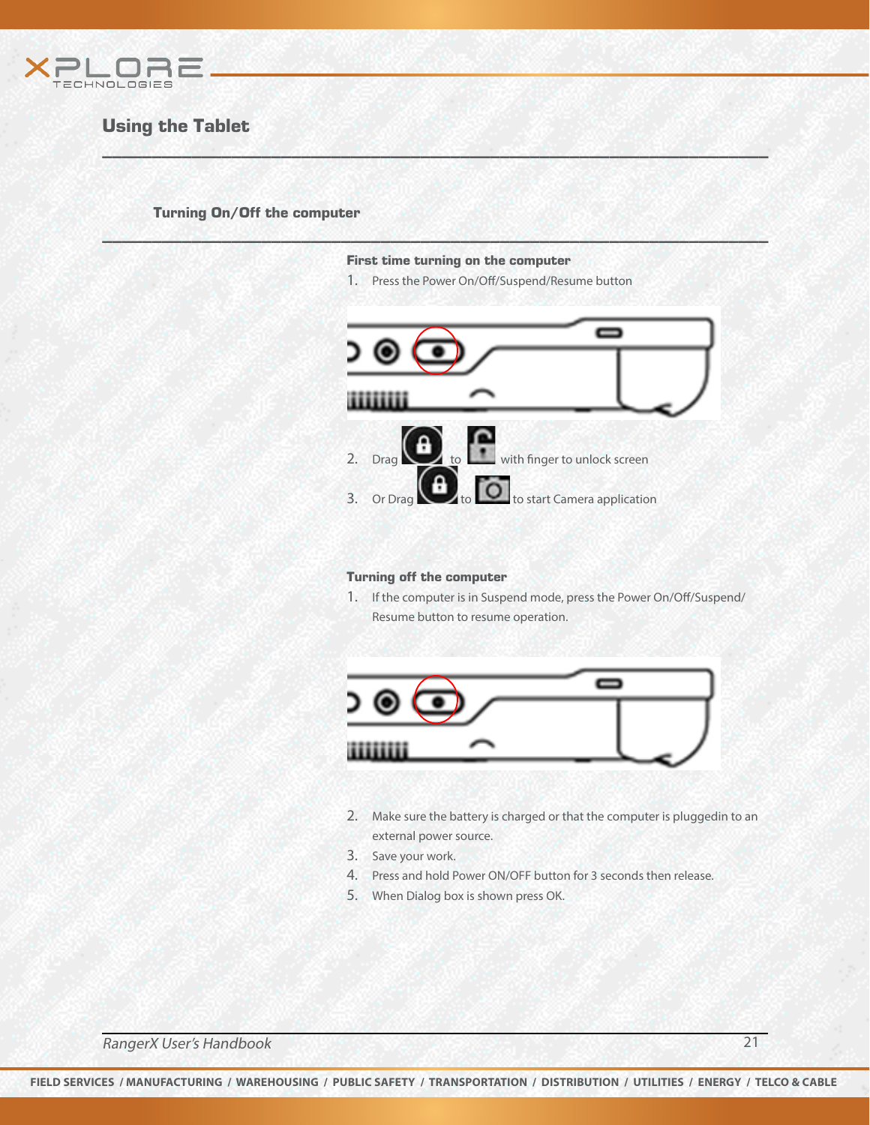

## Using the Tablet

Turning On/Off the computer

First time turning on the computer

 $W \subseteq M$  , we have a set of  $M$  , and  $M$  , and  $M$  , and  $M$  , and  $M$  , and  $M$  , and  $M$ 

\_\_\_\_\_\_\_\_\_\_\_\_\_\_\_\_\_\_\_\_\_\_\_\_\_\_\_\_\_\_\_\_\_\_\_\_\_\_\_\_\_\_\_\_\_\_\_\_\_\_\_\_\_\_\_\_\_\_\_\_\_\_\_\_\_\_\_

1. Press the Power On/Off/Suspend/Resume button



#### Turning off the computer

1. If the computer is in Suspend mode, press the Power On/Off/Suspend/ Resume button to resume operation.



- 2. Make sure the battery is charged or that the computer is pluggedin to an external power source.
- 3. Save your work.
- 4. Press and hold Power ON/OFF button for 3 seconds then release.
- 5. When Dialog box is shown press OK.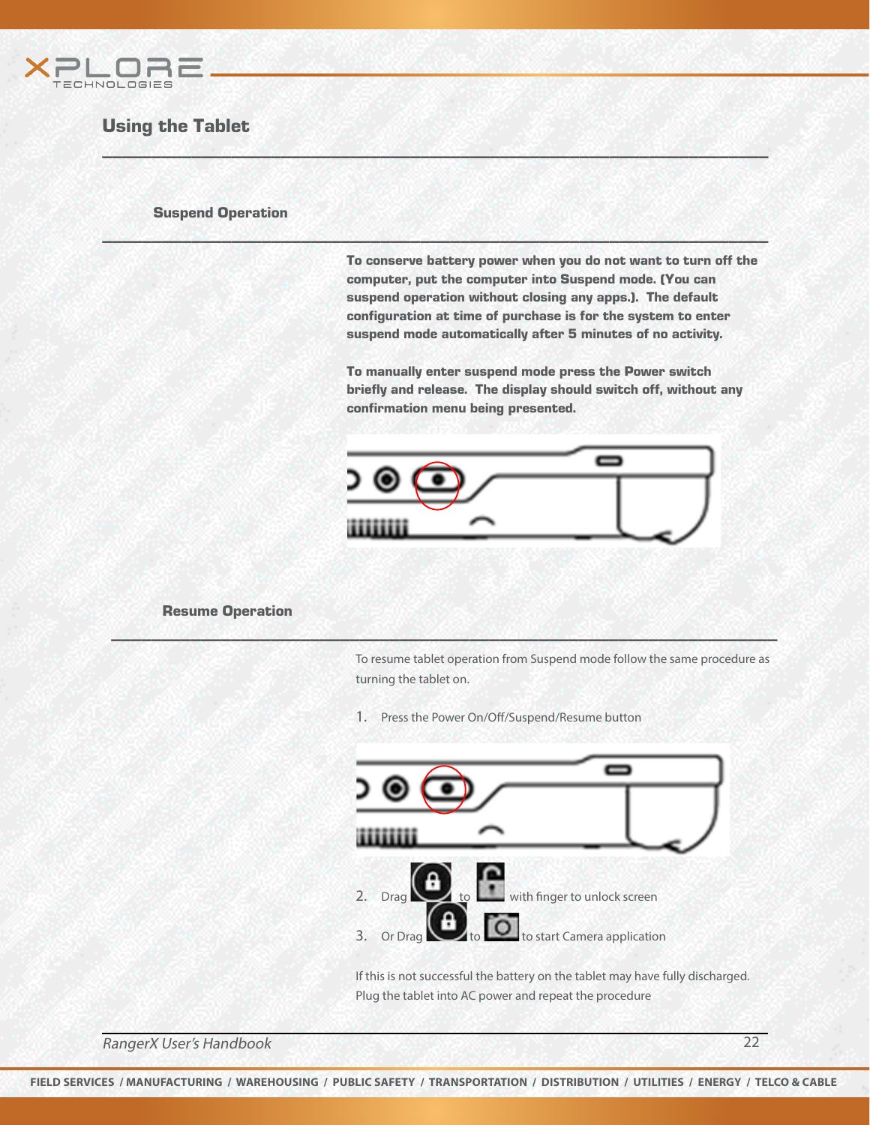

## Using the Tablet

#### Suspend Operation

To conserve battery power when you do not want to turn off the computer, put the computer into Suspend mode. (You can suspend operation without closing any apps.). The default configuration at time of purchase is for the system to enter suspend mode automatically after 5 minutes of no activity.

 $W \subseteq M$  , we have a set of  $M$  , and  $M$  , and  $M$  , and  $M$  , and  $M$  , and  $M$  , and  $M$ 

\_\_\_\_\_\_\_\_\_\_\_\_\_\_\_\_\_\_\_\_\_\_\_\_\_\_\_\_\_\_\_\_\_\_\_\_\_\_\_\_\_\_\_\_\_\_\_\_\_\_\_\_\_\_\_\_\_\_\_\_\_\_\_\_\_\_\_

To manually enter suspend mode press the Power switch briefly and release. The display should switch off, without any confirmation menu being presented.



#### Resume Operation

To resume tablet operation from Suspend mode follow the same procedure as turning the tablet on.

1. Press the Power On/Off/Suspend/Resume button

\_\_\_\_\_\_\_\_\_\_\_\_\_\_\_\_\_\_\_\_\_\_\_\_\_\_\_\_\_\_\_\_\_\_\_\_\_\_\_\_\_\_\_\_\_\_\_\_\_\_\_\_\_\_\_\_\_\_\_\_\_\_\_\_\_\_\_



If this is not successful the battery on the tablet may have fully discharged. Plug the tablet into AC power and repeat the procedure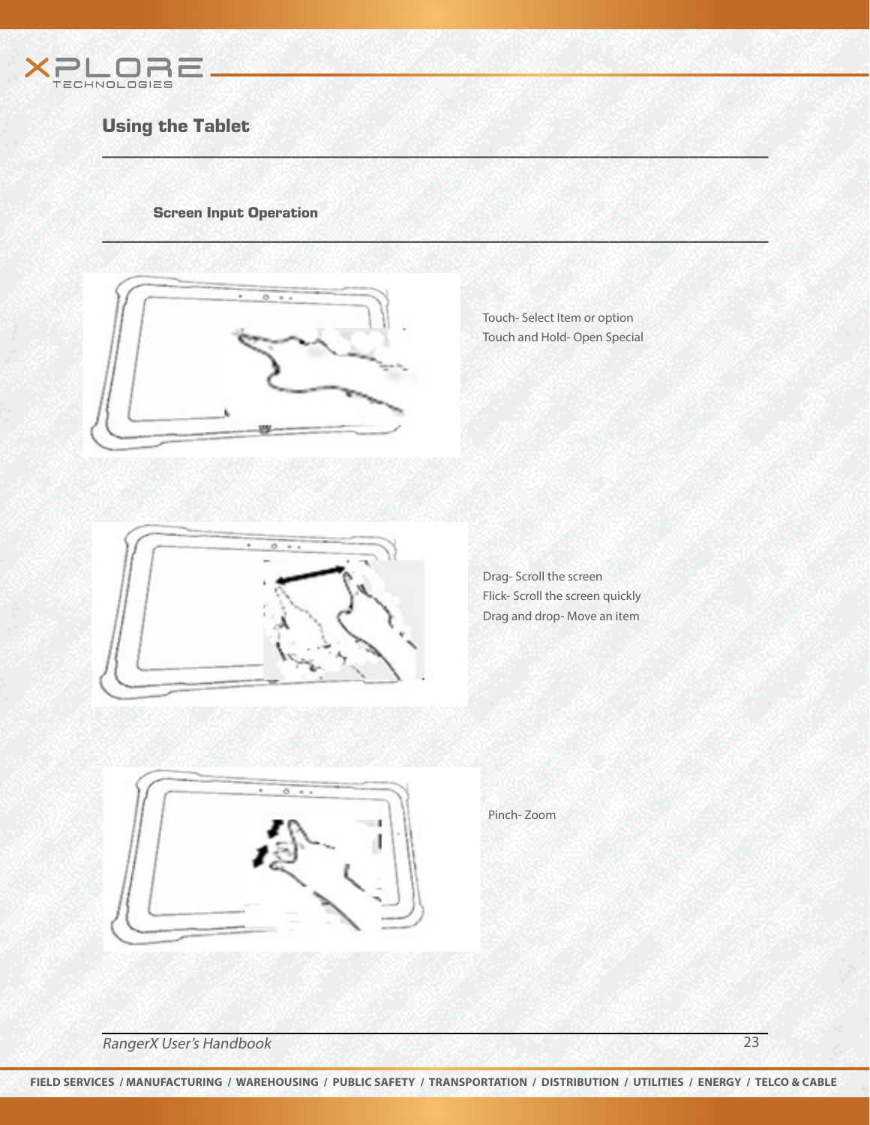

## Using the Tablet

Screen Input Operation



Touch- Select Item or option Touch and Hold- Open Special

 $W \subseteq M$  , we have a set of  $M$  , and  $M$  , and  $M$  , and  $M$  , and  $M$  , and  $M$  , and  $M$ 

\_\_\_\_\_\_\_\_\_\_\_\_\_\_\_\_\_\_\_\_\_\_\_\_\_\_\_\_\_\_\_\_\_\_\_\_\_\_\_\_\_\_\_\_\_\_\_\_\_\_\_\_\_\_\_\_\_\_\_\_\_\_\_\_\_\_\_



Drag- Scroll the screen Flick- Scroll the screen quickly Drag and drop- Move an item



Pinch- Zoom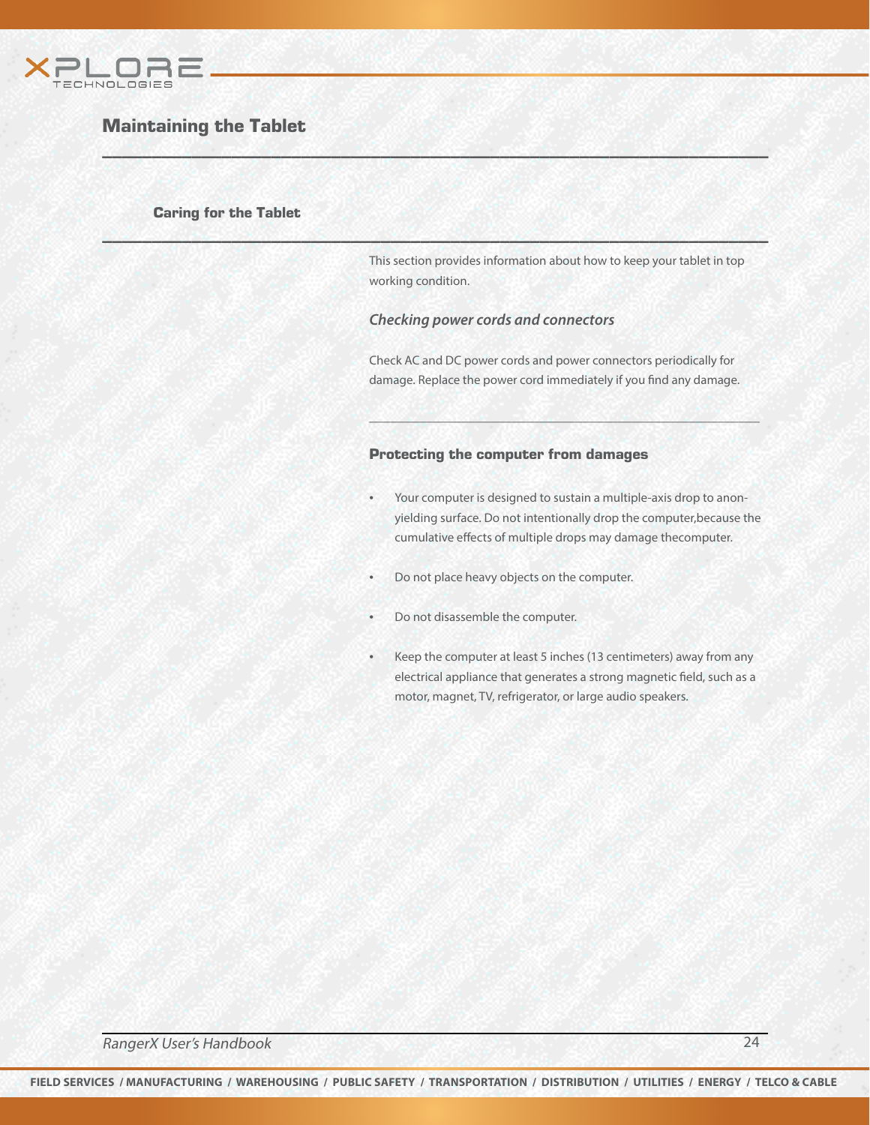

## Maintaining the Tablet

#### Caring for the Tablet

This section provides information about how to keep your tablet in top working condition.

#### *Checking power cords and connectors*

 $W \subseteq M$  , we have a set of  $M$  , and  $M$  , and  $M$  , and  $M$  , and  $M$  , and  $M$  , and  $M$ 

\_\_\_\_\_\_\_\_\_\_\_\_\_\_\_\_\_\_\_\_\_\_\_\_\_\_\_\_\_\_\_\_\_\_\_\_\_\_\_\_\_\_\_\_\_\_\_\_\_\_\_\_\_\_\_\_\_\_\_\_\_\_\_\_\_\_\_

Check AC and DC power cords and power connectors periodically for damage. Replace the power cord immediately if you find any damage.

\_\_\_\_\_\_\_\_\_\_\_\_\_\_\_\_\_\_\_\_\_\_\_\_\_\_\_\_\_\_\_\_\_\_\_\_\_\_\_\_\_\_\_\_\_\_\_\_\_\_\_\_\_\_\_

#### Protecting the computer from damages

- Your computer is designed to sustain a multiple-axis drop to anonyielding surface. Do not intentionally drop the computer,because the cumulative effects of multiple drops may damage thecomputer.
- Do not place heavy objects on the computer.
- Do not disassemble the computer.
- Keep the computer at least 5 inches (13 centimeters) away from any electrical appliance that generates a strong magnetic field, such as a motor, magnet, TV, refrigerator, or large audio speakers.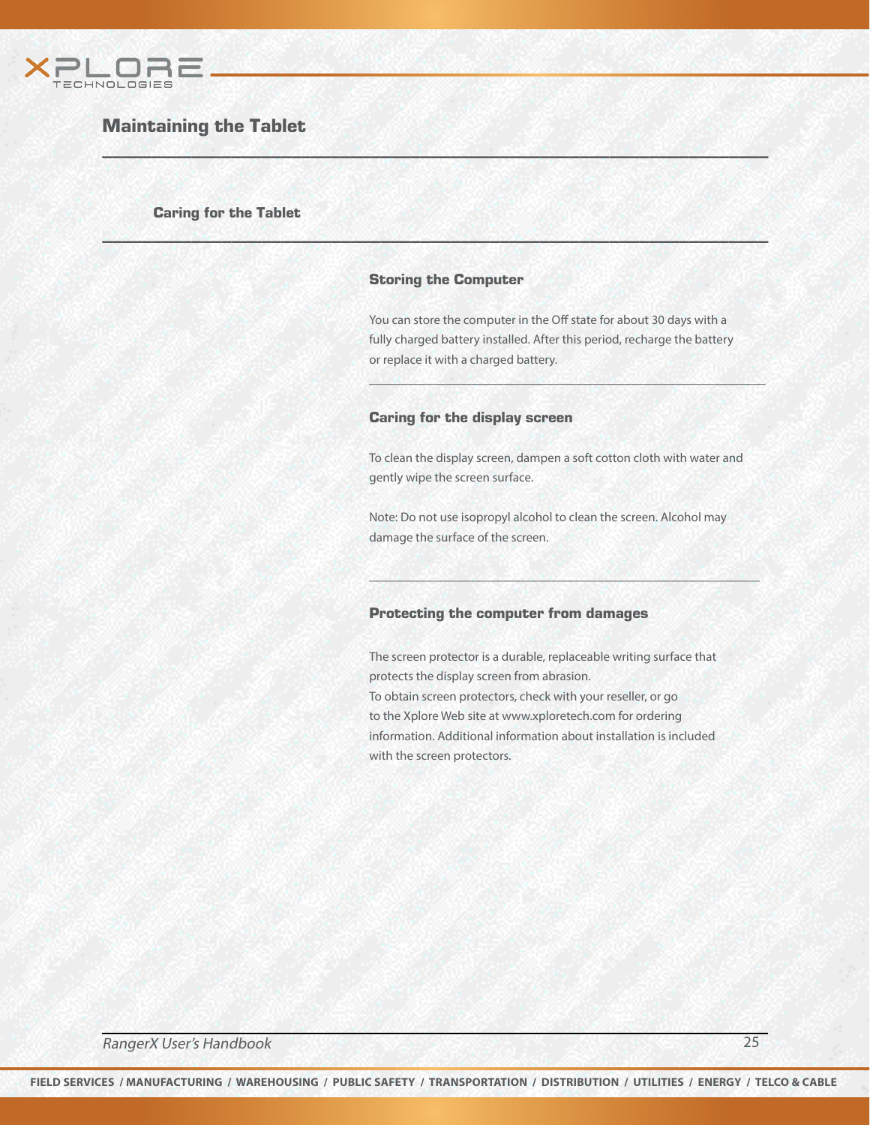

## Maintaining the Tablet

#### Caring for the Tablet

#### Storing the Computer

\_\_\_\_\_\_\_\_\_\_\_\_\_\_\_\_\_\_\_\_\_\_\_\_\_\_\_\_\_\_\_\_\_\_\_\_\_\_\_\_\_\_\_\_\_\_\_\_\_\_\_\_\_\_\_\_\_\_\_\_\_\_\_\_\_\_\_

 $W \subseteq M$  , we have a set of  $M$  , and  $M$  , and  $M$  , and  $M$  , and  $M$  , and  $M$  , and  $M$ 

You can store the computer in the Off state for about 30 days with a fully charged battery installed. After this period, recharge the battery or replace it with a charged battery.

\_\_\_\_\_\_\_\_\_\_\_\_\_\_\_\_\_\_\_\_\_\_\_\_\_\_\_\_\_\_\_\_\_\_\_\_\_\_\_\_\_\_\_\_\_\_\_\_\_\_\_\_\_\_\_\_\_\_\_\_\_\_

#### Caring for the display screen

To clean the display screen, dampen a soft cotton cloth with water and gently wipe the screen surface.

Note: Do not use isopropyl alcohol to clean the screen. Alcohol may damage the surface of the screen.

\_\_\_\_\_\_\_\_\_\_\_\_\_\_\_\_\_\_\_\_\_\_\_\_\_\_\_\_\_\_\_\_\_\_\_\_\_\_\_\_\_\_\_\_\_\_\_\_\_\_\_\_\_\_\_

#### Protecting the computer from damages

The screen protector is a durable, replaceable writing surface that protects the display screen from abrasion. To obtain screen protectors, check with your reseller, or go to the Xplore Web site at www.xploretech.com for ordering information. Additional information about installation is included with the screen protectors.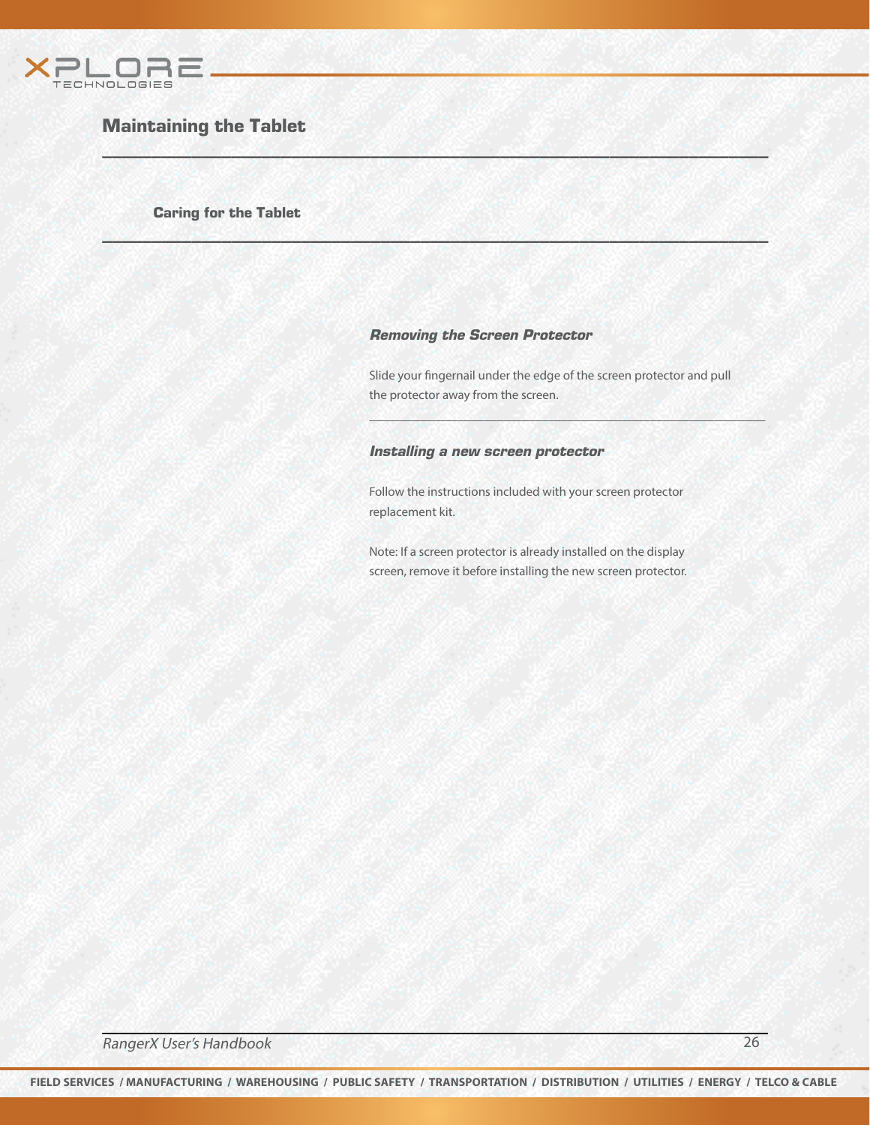

## Maintaining the Tablet

Caring for the Tablet

#### Removing the Screen Protector

 $W \subseteq M$  , we have a set of  $M$  , and  $M$  , and  $M$  , and  $M$  , and  $M$  , and  $M$  , and  $M$ 

\_\_\_\_\_\_\_\_\_\_\_\_\_\_\_\_\_\_\_\_\_\_\_\_\_\_\_\_\_\_\_\_\_\_\_\_\_\_\_\_\_\_\_\_\_\_\_\_\_\_\_\_\_\_\_\_\_\_\_\_\_\_\_\_\_\_\_

Slide your fingernail under the edge of the screen protector and pull the protector away from the screen.

\_\_\_\_\_\_\_\_\_\_\_\_\_\_\_\_\_\_\_\_\_\_\_\_\_\_\_\_\_\_\_\_\_\_\_\_\_\_\_\_\_\_\_\_\_\_\_\_\_\_\_\_\_\_\_\_\_\_\_\_\_\_

#### Installing a new screen protector

Follow the instructions included with your screen protector replacement kit.

Note: If a screen protector is already installed on the display screen, remove it before installing the new screen protector.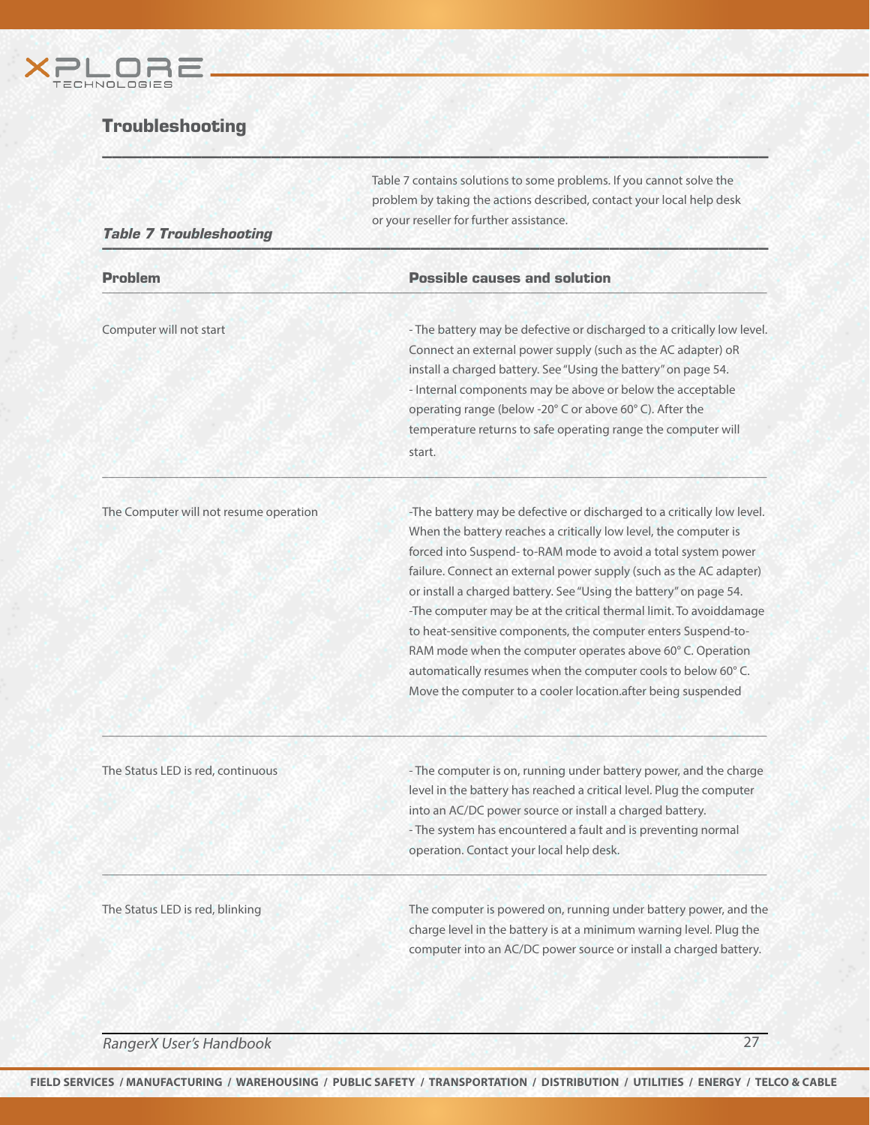

## **Troubleshooting**

Table 7 contains solutions to some problems. If you cannot solve the problem by taking the actions described, contact your local help desk or your reseller for further assistance.

## **Table 7 Troubleshooting the contract of the contract of the contract of the contract of the contract of the contract of the contract of the contract of the contract of the contract of the contract of the contract of the c**

| <b>Problem</b> | <b>Possible causes and solution</b> |  |  |
|----------------|-------------------------------------|--|--|
|                |                                     |  |  |

 $\sim$  0.000  $\sim$  0.000  $\sim$  0.000  $\sim$  0.000  $\sim$  0.000  $\sim$  0.000  $\sim$  0.000  $\sim$  0.000  $\sim$  0.000  $\sim$  0.000  $\sim$  0.000  $\sim$ 

 $\mu$  , and the set of the set of the set of the set of the set of the set of the set of the set of the set of the set of the set of the set of the set of the set of the set of the set of the set of the set of the set of t

\_\_\_\_\_\_\_\_\_\_\_\_\_\_\_\_\_\_\_\_\_\_\_\_\_\_\_\_\_\_\_\_\_\_\_\_\_\_\_\_\_\_\_\_\_\_\_\_\_\_\_\_\_\_\_\_\_\_\_\_\_\_\_\_\_\_\_\_\_\_\_\_\_\_\_\_\_\_\_\_\_\_\_\_\_\_\_\_\_\_\_\_\_\_\_\_\_\_\_\_\_\_\_\_

 $W \subseteq M$  , we have a set of  $M$  , and  $M$  , and  $M$  , and  $M$  , and  $M$  , and  $M$  , and  $M$ 

Computer will not start  $\blacksquare$  The battery may be defective or discharged to a critically low level. Connect an external power supply (such as the AC adapter) oR install a charged battery. See "Using the battery" on page 54. - Internal components may be above or below the acceptable operating range (below -20° C or above 60° C). After the temperature returns to safe operating range the computer will start. In der der Start. Der Start in der Start. Der Start.

The Computer will not resume operation - The battery may be defective or discharged to a critically low level. When the battery reaches a critically low level, the computer is forced into Suspend- to-RAM mode to avoid a total system power failure. Connect an external power supply (such as the AC adapter) or install a charged battery. See "Using the battery" on page 54. -The computer may be at the critical thermal limit. To avoiddamage to heat-sensitive components, the computer enters Suspend-to-RAM mode when the computer operates above 60° C. Operation automatically resumes when the computer cools to below 60° C. Move the computer to a cooler location.after being suspended

The Status LED is red, continuous - The computer is on, running under battery power, and the charge level in the battery has reached a critical level. Plug the computer into an AC/DC power source or install a charged battery. - The system has encountered a fault and is preventing normal operation. Contact your local help desk.

The Status LED is red, blinking The Computer is powered on, running under battery power, and the charge level in the battery is at a minimum warning level. Plug the computer into an AC/DC power source or install a charged battery.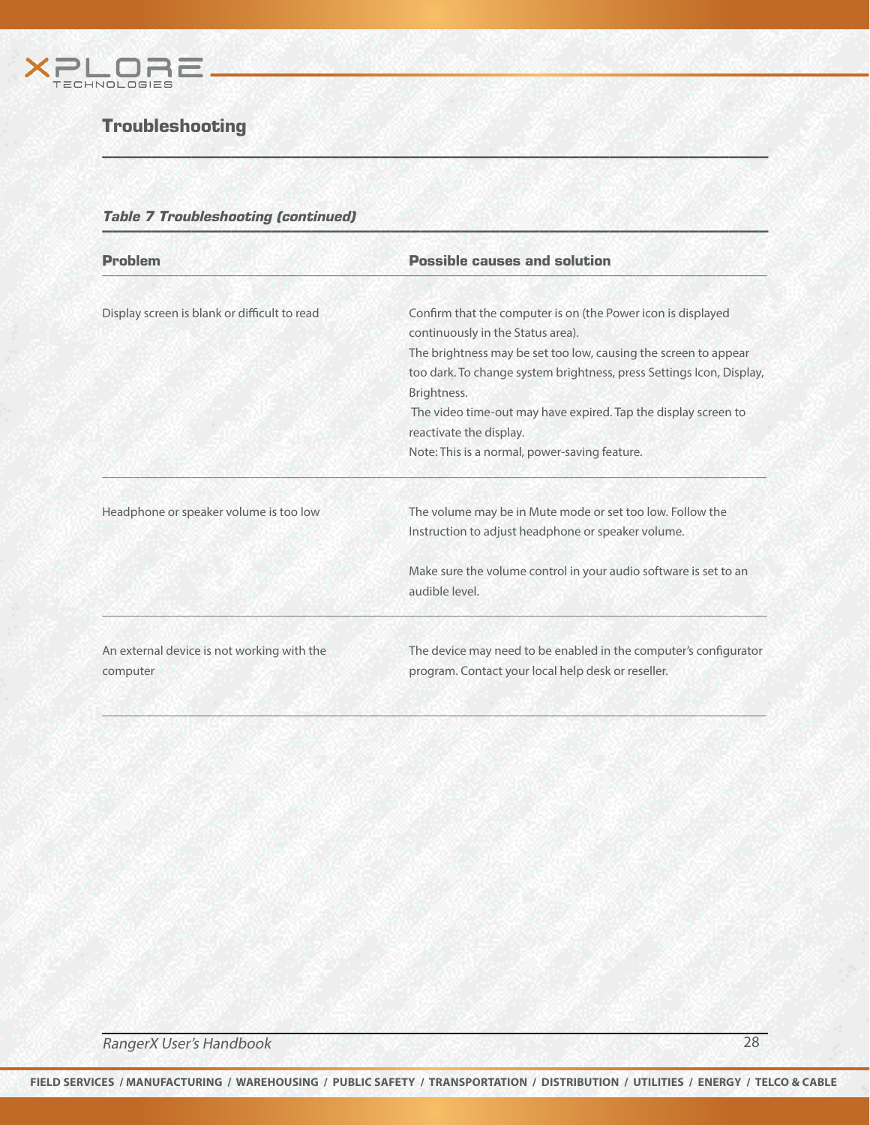

## Troubleshooting

# Table 7 Troubleshooting (continued) \_\_\_\_\_\_\_\_\_\_\_\_\_\_\_\_\_\_\_\_\_\_\_\_\_\_\_\_\_\_\_\_\_\_\_\_\_\_\_\_\_\_\_\_\_\_\_\_\_\_\_\_\_\_\_\_\_\_\_\_\_\_\_\_\_\_\_

| <b>Problem</b>                               | <b>Possible causes and solution</b>                                                                                                     |
|----------------------------------------------|-----------------------------------------------------------------------------------------------------------------------------------------|
| Display screen is blank or difficult to read | Confirm that the computer is on (the Power icon is displayed<br>continuously in the Status area).                                       |
|                                              | The brightness may be set too low, causing the screen to appear<br>too dark. To change system brightness, press Settings Icon, Display, |
|                                              | Brightness.                                                                                                                             |
|                                              | The video time-out may have expired. Tap the display screen to<br>reactivate the display.                                               |
|                                              | Note: This is a normal, power-saving feature.                                                                                           |
| Headphone or speaker volume is too low       | The volume may be in Mute mode or set too low. Follow the                                                                               |
|                                              | Instruction to adjust headphone or speaker volume.                                                                                      |
|                                              | Make sure the volume control in your audio software is set to an<br>audible level.                                                      |
| An external device is not working with the   | The device may need to be enabled in the computer's configurator                                                                        |
|                                              |                                                                                                                                         |

 $W \subseteq M$  , we have a set of  $M$  , and  $M$  , and  $M$  , and  $M$  , and  $M$  , and  $M$  , and  $M$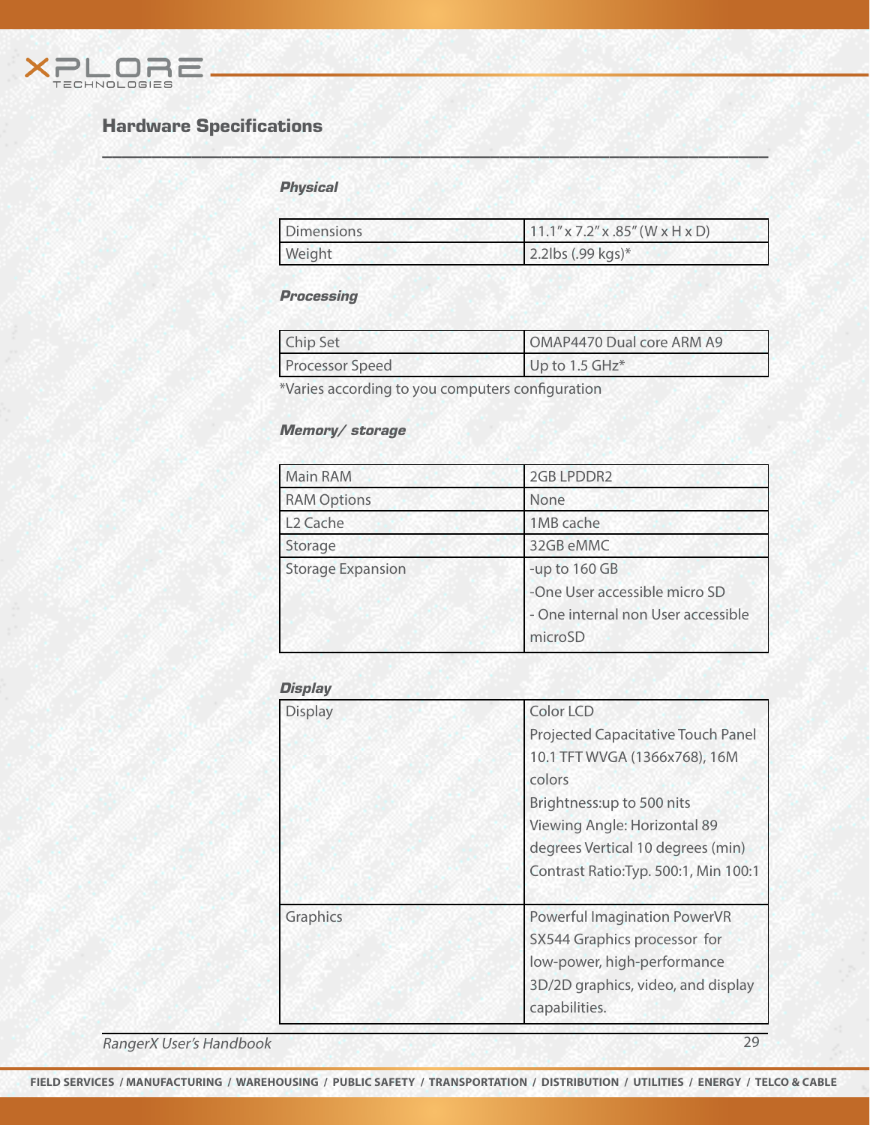

## Hardware Specifications

## **Physical**

| Dimensions | $11.1''$ x 7.2" x .85" (W x H x D) |
|------------|------------------------------------|
| Weight     | $2.2$ lbs (.99 kgs)*               |

#### **Processing**

| Chip Set               | OMAP4470 Dual core ARM A9 |
|------------------------|---------------------------|
| <b>Processor Speed</b> | Up to 1.5 GHz*            |

\*Varies according to you computers configuration

 $W \subseteq M$  , we have a set of  $M$  , and  $M$  , and  $M$  , and  $M$  , and  $M$  , and  $M$  , and  $M$ 

## Memory/ storage

| <b>Main RAM</b>          | 2GB LPDDR2                                                                                      |
|--------------------------|-------------------------------------------------------------------------------------------------|
| <b>RAM Options</b>       | None                                                                                            |
| L <sub>2</sub> Cache     | 1MB cache                                                                                       |
| Storage                  | 32GB eMMC                                                                                       |
| <b>Storage Expansion</b> | -up to 160 GB<br>-One User accessible micro SD<br>- One internal non User accessible<br>microSD |

#### **Display**

| <b>Display</b> | Color LCD<br><b>Projected Capacitative Touch Panel</b><br>10.1 TFT WVGA (1366x768), 16M<br>colors<br>Brightness:up to 500 nits<br>Viewing Angle: Horizontal 89<br>degrees Vertical 10 degrees (min) |
|----------------|-----------------------------------------------------------------------------------------------------------------------------------------------------------------------------------------------------|
|                | Contrast Ratio: Typ. 500:1, Min 100:1                                                                                                                                                               |
| Graphics       | Powerful Imagination PowerVR<br>SX544 Graphics processor for<br>low-power, high-performance<br>3D/2D graphics, video, and display<br>capabilities.                                                  |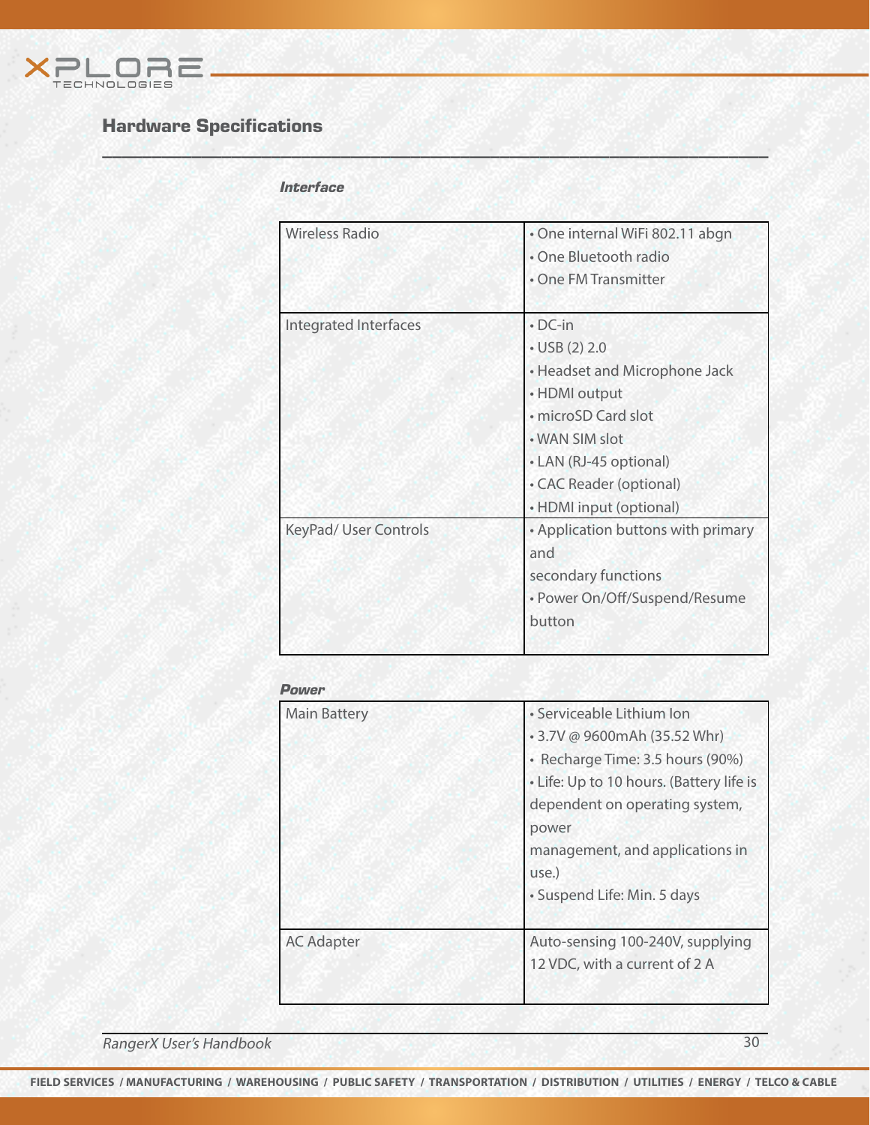

## Hardware Specifications

## **Interface**

 $W \subseteq M$  , we have a set of  $M$  , and  $M$  , and  $M$  , and  $M$  , and  $M$  , and  $M$  , and  $M$ 

| Wireless Radio               | · One internal WiFi 802.11 abgn<br>• One Bluetooth radio<br>• One FM Transmitter                                                                                                                                |
|------------------------------|-----------------------------------------------------------------------------------------------------------------------------------------------------------------------------------------------------------------|
| <b>Integrated Interfaces</b> | $\cdot$ DC-in<br>$\cdot$ USB (2) 2.0<br>• Headset and Microphone Jack<br>• HDMI output<br>· microSD Card slot<br>• WAN SIM slot<br>• LAN (RJ-45 optional)<br>• CAC Reader (optional)<br>• HDMI input (optional) |
| <b>KeyPad/ User Controls</b> | • Application buttons with primary<br>and<br>secondary functions<br>· Power On/Off/Suspend/Resume<br>button                                                                                                     |

#### Power

| <b>Main Battery</b> | · Serviceable Lithium Ion<br>• 3.7V @ 9600mAh (35.52 Whr)<br>· Recharge Time: 3.5 hours (90%)<br>• Life: Up to 10 hours. (Battery life is<br>dependent on operating system,<br>power<br>management, and applications in<br>use.)<br>· Suspend Life: Min. 5 days |
|---------------------|-----------------------------------------------------------------------------------------------------------------------------------------------------------------------------------------------------------------------------------------------------------------|
| <b>AC Adapter</b>   | Auto-sensing 100-240V, supplying<br>12 VDC, with a current of 2 A                                                                                                                                                                                               |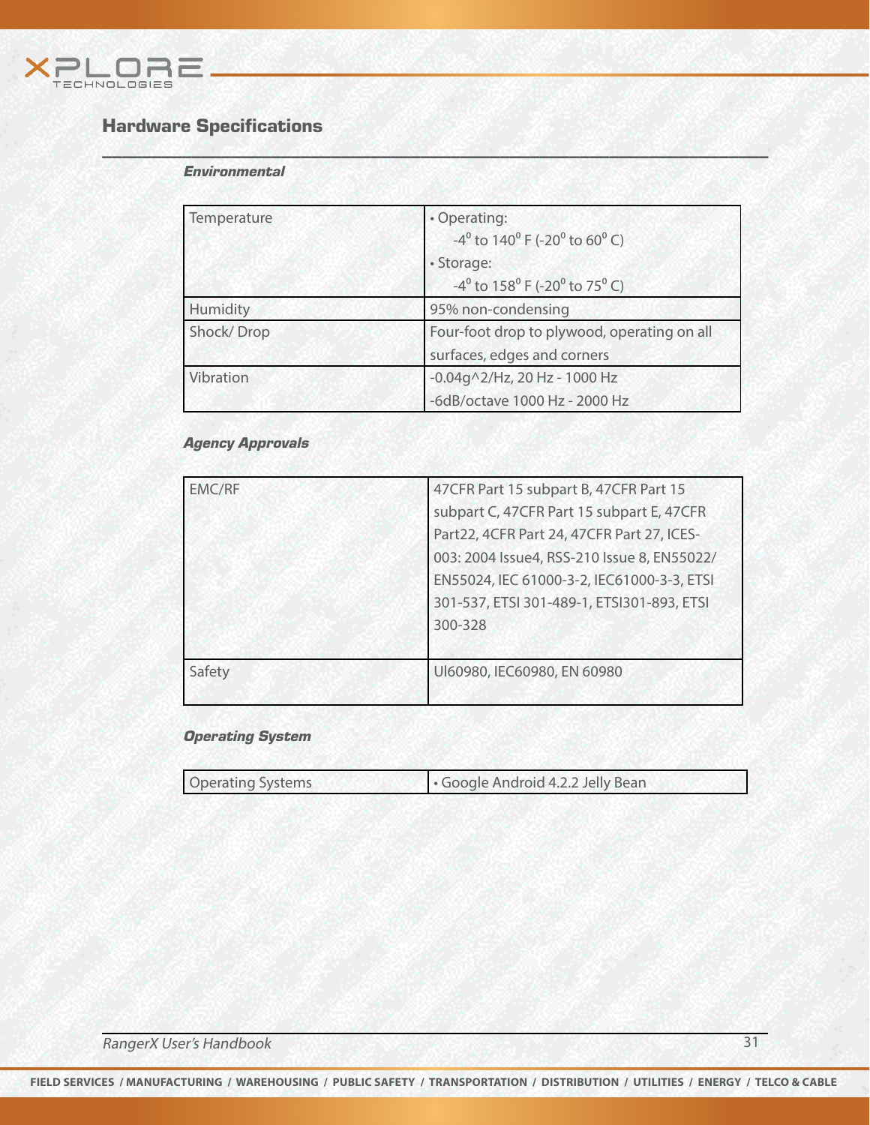

## Hardware Specifications

#### **Environmental**

| Temperature | • Operating:<br>-4 <sup>°</sup> to 140 <sup>°</sup> F (-20 <sup>°</sup> to 60 <sup>°</sup> C) |
|-------------|-----------------------------------------------------------------------------------------------|
|             | · Storage:                                                                                    |
|             | -4 <sup>°</sup> to 158 <sup>°</sup> F (-20 <sup>°</sup> to 75 <sup>°</sup> C)                 |
| Humidity    | 95% non-condensing                                                                            |
| Shock/Drop  | Four-foot drop to plywood, operating on all                                                   |
|             | surfaces, edges and corners                                                                   |
| Vibration   | $-0.04$ g $\wedge$ 2/Hz, 20 Hz - 1000 Hz                                                      |
|             | -6dB/octave 1000 Hz - 2000 Hz                                                                 |

 $W \subseteq M$  , we have a set of  $M$  , and  $M$  , and  $M$  , and  $M$  , and  $M$  , and  $M$  , and  $M$ 

## Agency Approvals

| 47CFR Part 15 subpart B, 47CFR Part 15      |
|---------------------------------------------|
| subpart C, 47CFR Part 15 subpart E, 47CFR   |
| Part22, 4CFR Part 24, 47CFR Part 27, ICES-  |
| 003: 2004 Issue4, RSS-210 Issue 8, EN55022/ |
| EN55024, IEC 61000-3-2, IEC61000-3-3, ETSI  |
| 301-537, ETSI 301-489-1, ETSI301-893, ETSI  |
| 300-328                                     |
|                                             |
| UI60980, IEC60980, EN 60980                 |
|                                             |

## Operating System

| <b>Operating Systems</b> | Google Android 4.2.2 Jelly Bean |  |
|--------------------------|---------------------------------|--|
|                          |                                 |  |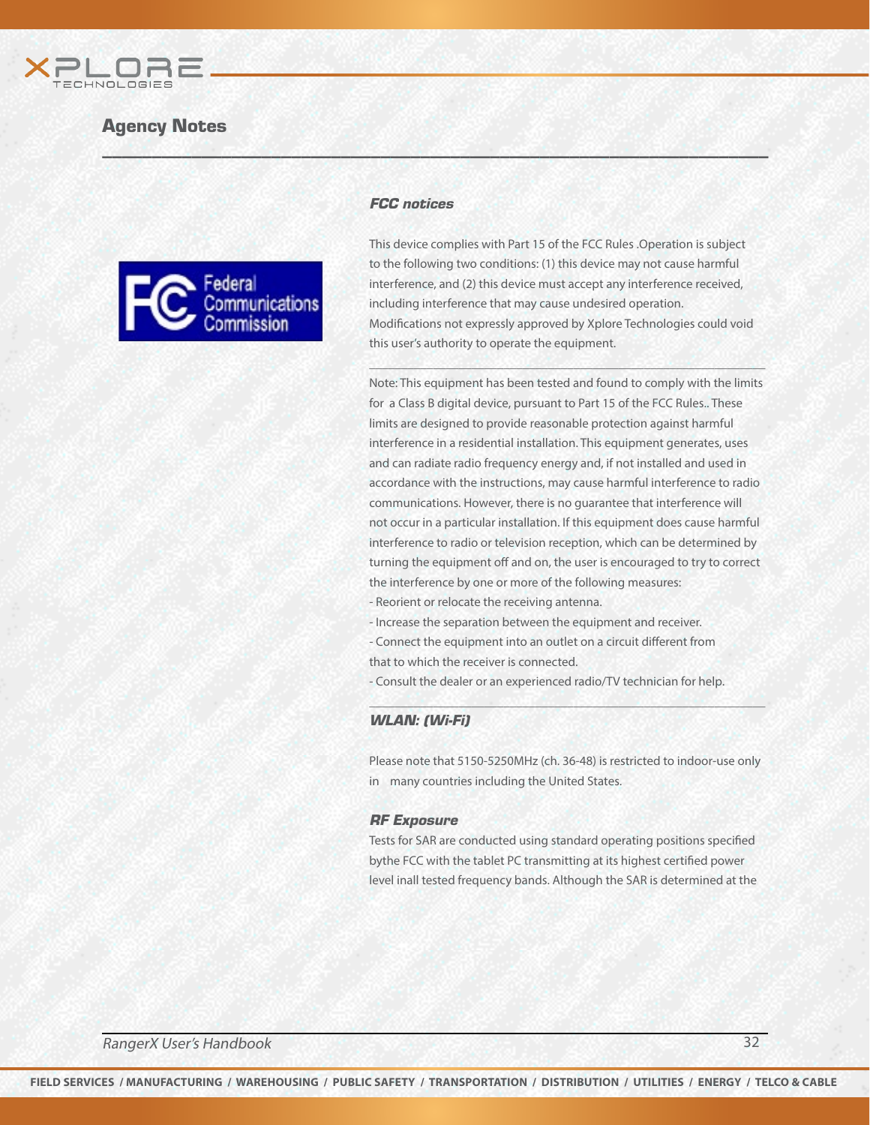



#### FCC notices

 $W \subseteq M$  , we have a set of  $M$  , and  $M$  , and  $M$  , and  $M$  , and  $M$  , and  $M$  , and  $M$ 

This device complies with Part 15 of the FCC Rules .Operation is subject to the following two conditions: (1) this device may not cause harmful interference, and (2) this device must accept any interference received, including interference that may cause undesired operation. Modifications not expressly approved by Xplore Technologies could void this user's authority to operate the equipment.

 $\mathcal{L}_\mathcal{D}(\mathcal{L}_\mathcal{D},\mathcal{L}_\mathcal{D})=\mathcal{L}_\mathcal{D}(\mathcal{L}_\mathcal{D},\mathcal{L}_\mathcal{D})=\mathcal{L}_\mathcal{D}(\mathcal{L}_\mathcal{D},\mathcal{L}_\mathcal{D})=\mathcal{L}_\mathcal{D}(\mathcal{L}_\mathcal{D},\mathcal{L}_\mathcal{D})$ 

Note: This equipment has been tested and found to comply with the limits for a Class B digital device, pursuant to Part 15 of the FCC Rules.. These limits are designed to provide reasonable protection against harmful interference in a residential installation. This equipment generates, uses and can radiate radio frequency energy and, if not installed and used in accordance with the instructions, may cause harmful interference to radio communications. However, there is no guarantee that interference will not occur in a particular installation. If this equipment does cause harmful interference to radio or television reception, which can be determined by turning the equipment off and on, the user is encouraged to try to correct the interference by one or more of the following measures: - Reorient or relocate the receiving antenna.

- Increase the separation between the equipment and receiver.
- Connect the equipment into an outlet on a circuit different from that to which the receiver is connected.
- Consult the dealer or an experienced radio/TV technician for help.

#### WLAN: (Wi-Fi)

Please note that 5150-5250MHz (ch. 36-48) is restricted to indoor-use only in many countries including the United States.

\_\_\_\_\_\_\_\_\_\_\_\_\_\_\_\_\_\_\_\_\_\_\_\_\_\_\_\_\_\_\_\_\_\_\_\_\_\_\_\_\_\_\_\_\_\_\_\_\_\_\_\_\_\_\_\_\_\_\_\_\_\_

#### RF Exposure

Tests for SAR are conducted using standard operating positions specified bythe FCC with the tablet PC transmitting at its highest certified power level inall tested frequency bands. Although the SAR is determined at the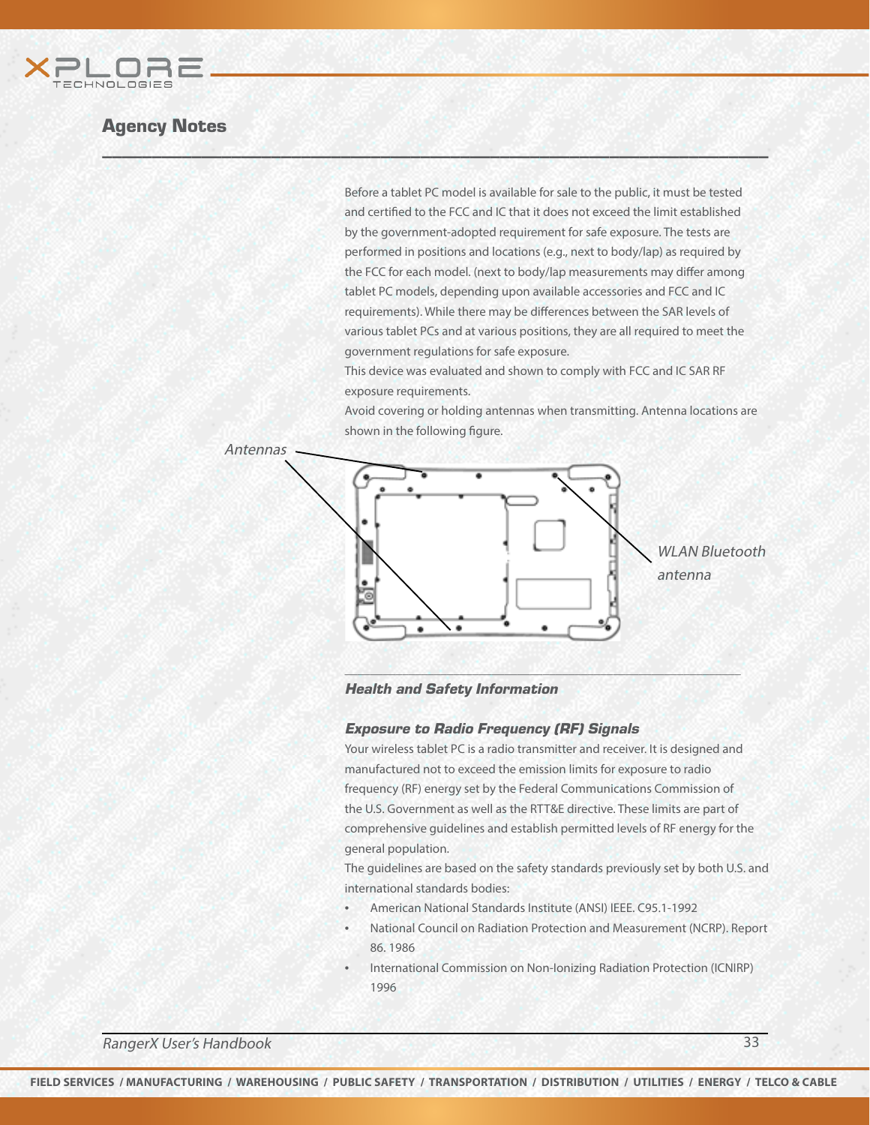

Before a tablet PC model is available for sale to the public, it must be tested and certified to the FCC and IC that it does not exceed the limit established by the government-adopted requirement for safe exposure. The tests are performed in positions and locations (e.g., next to body/lap) as required by the FCC for each model. (next to body/lap measurements may differ among tablet PC models, depending upon available accessories and FCC and IC requirements). While there may be differences between the SAR levels of various tablet PCs and at various positions, they are all required to meet the government regulations for safe exposure.

This device was evaluated and shown to comply with FCC and IC SAR RF exposure requirements.

Avoid covering or holding antennas when transmitting. Antenna locations are shown in the following figure.





\_\_\_\_\_\_\_\_\_\_\_\_\_\_\_\_\_\_\_\_\_\_\_\_\_\_\_\_\_\_\_\_\_\_\_\_\_\_\_\_\_\_\_\_\_\_\_\_\_\_\_\_\_\_\_\_\_\_\_\_\_\_

Health and Safety Information

 $W \subseteq M$  , we have a set of  $M$  , and  $M$  , and  $M$  , and  $M$  , and  $M$  , and  $M$  , and  $M$ 

#### Exposure to Radio Frequency (RF) Signals

Your wireless tablet PC is a radio transmitter and receiver. It is designed and manufactured not to exceed the emission limits for exposure to radio frequency (RF) energy set by the Federal Communications Commission of the U.S. Government as well as the RTT&E directive. These limits are part of comprehensive guidelines and establish permitted levels of RF energy for the general population.

The guidelines are based on the safety standards previously set by both U.S. and international standards bodies:

- American National Standards Institute (ANSI) IEEE. C95.1-1992
- National Council on Radiation Protection and Measurement (NCRP). Report 86. 1986
- International Commission on Non-Ionizing Radiation Protection (ICNIRP) 1996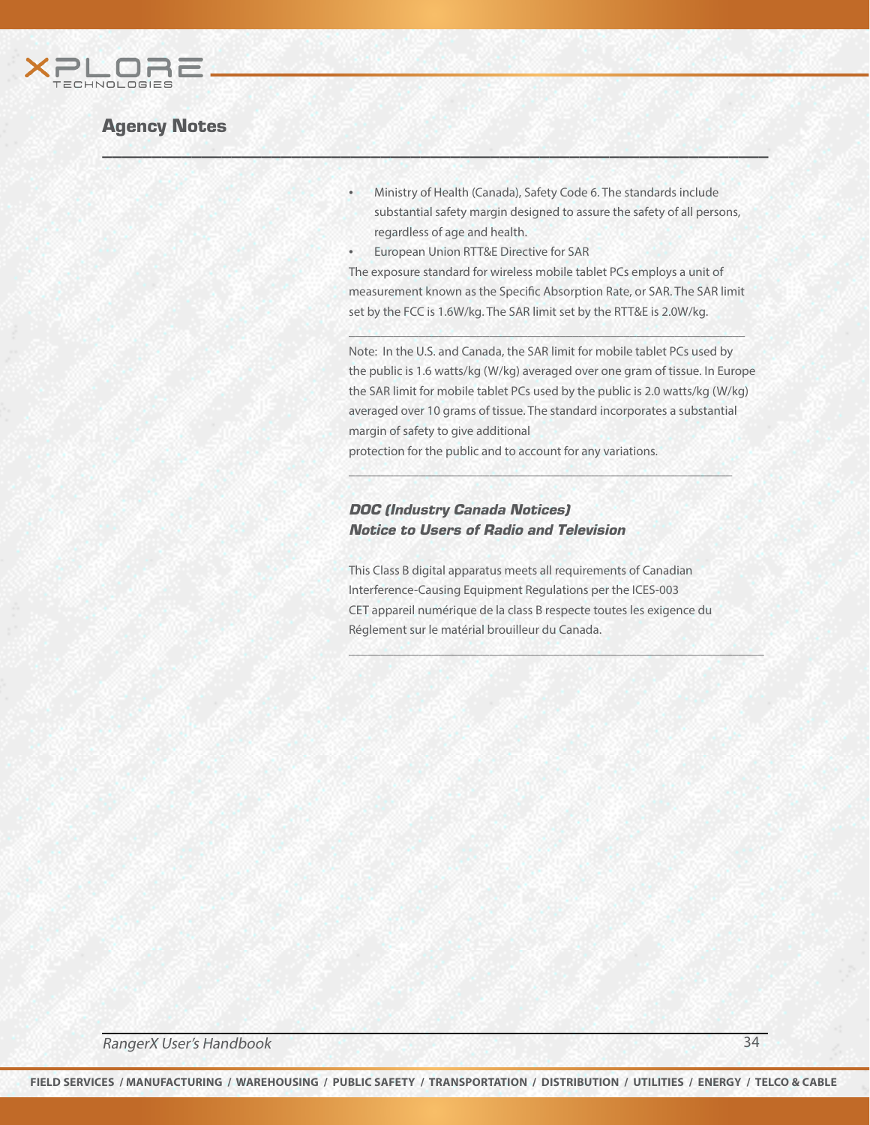

- Ministry of Health (Canada), Safety Code 6. The standards include substantial safety margin designed to assure the safety of all persons, regardless of age and health.
- European Union RTT&E Directive for SAR

 $W \subseteq M$  , we have a set of  $M$  , and  $M$  , and  $M$  , and  $M$  , and  $M$  , and  $M$  , and  $M$ 

The exposure standard for wireless mobile tablet PCs employs a unit of measurement known as the Specific Absorption Rate, or SAR. The SAR limit set by the FCC is 1.6W/kg. The SAR limit set by the RTT&E is 2.0W/kg.

\_\_\_\_\_\_\_\_\_\_\_\_\_\_\_\_\_\_\_\_\_\_\_\_\_\_\_\_\_\_\_\_\_\_\_\_\_\_\_\_\_\_\_\_\_\_\_\_\_\_\_\_\_\_\_\_\_\_\_\_\_\_

Note: In the U.S. and Canada, the SAR limit for mobile tablet PCs used by the public is 1.6 watts/kg (W/kg) averaged over one gram of tissue. In Europe the SAR limit for mobile tablet PCs used by the public is 2.0 watts/kg (W/kg) averaged over 10 grams of tissue. The standard incorporates a substantial margin of safety to give additional

\_\_\_\_\_\_\_\_\_\_\_\_\_\_\_\_\_\_\_\_\_\_\_\_\_\_\_\_\_\_\_\_\_\_\_\_\_\_\_\_\_\_\_\_\_\_\_\_\_\_\_\_\_\_\_\_\_\_\_\_

protection for the public and to account for any variations.

#### DOC (Industry Canada Notices) Notice to Users of Radio and Television

This Class B digital apparatus meets all requirements of Canadian Interference-Causing Equipment Regulations per the ICES-003 CET appareil numérique de la class B respecte toutes les exigence du Réglement sur le matérial brouilleur du Canada.

\_\_\_\_\_\_\_\_\_\_\_\_\_\_\_\_\_\_\_\_\_\_\_\_\_\_\_\_\_\_\_\_\_\_\_\_\_\_\_\_\_\_\_\_\_\_\_\_\_\_\_\_\_\_\_\_\_\_\_\_\_\_\_\_\_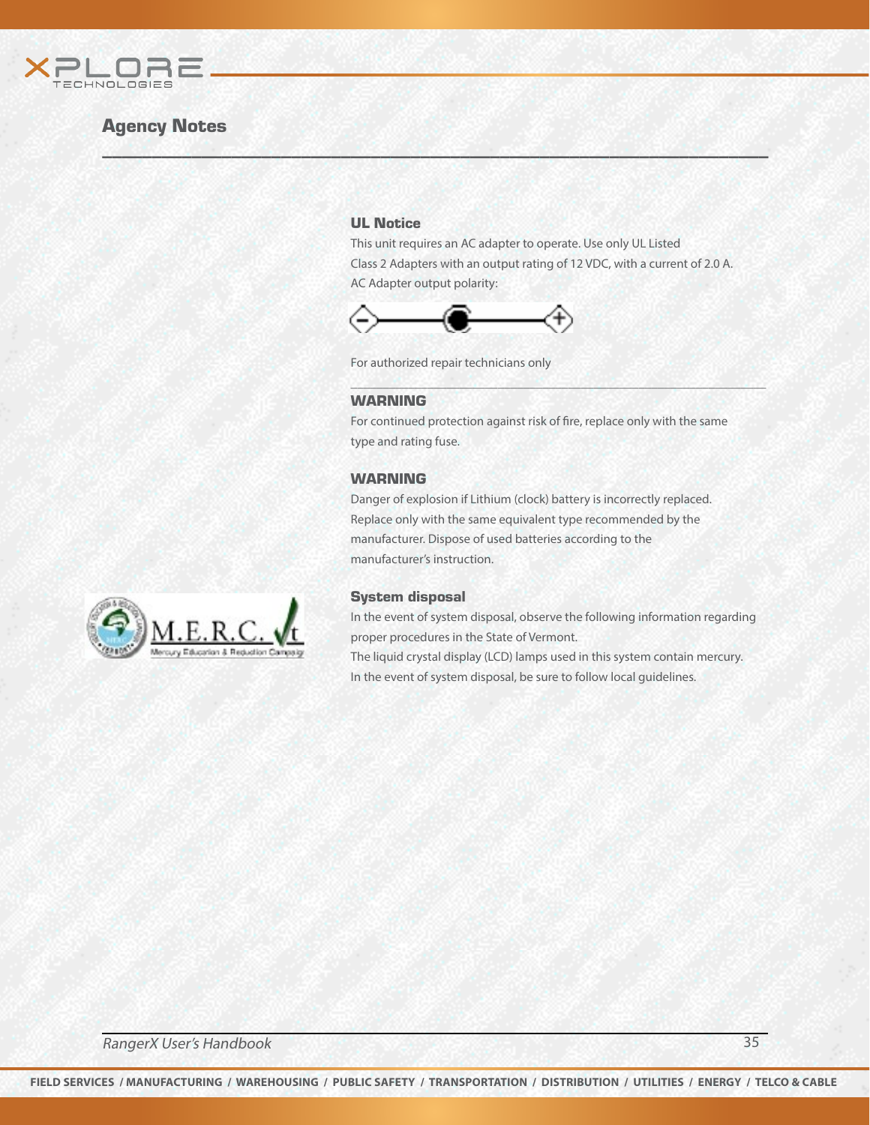

#### UL Notice

This unit requires an AC adapter to operate. Use only UL Listed Class 2 Adapters with an output rating of 12 VDC, with a current of 2.0 A. AC Adapter output polarity:



For authorized repair technicians only

 $W \subseteq M$  , we have a set of  $M$  , and  $M$  , and  $M$  , and  $M$  , and  $M$  , and  $M$  , and  $M$ 

#### WARNING

For continued protection against risk of fire, replace only with the same type and rating fuse.

\_\_\_\_\_\_\_\_\_\_\_\_\_\_\_\_\_\_\_\_\_\_\_\_\_\_\_\_\_\_\_\_\_\_\_\_\_\_\_\_\_\_\_\_\_\_\_\_\_\_\_\_\_\_\_\_\_\_\_\_\_\_\_\_\_

#### WARNING

Danger of explosion if Lithium (clock) battery is incorrectly replaced. Replace only with the same equivalent type recommended by the manufacturer. Dispose of used batteries according to the manufacturer's instruction.



#### System disposal

In the event of system disposal, observe the following information regarding proper procedures in the State of Vermont. The liquid crystal display (LCD) lamps used in this system contain mercury. In the event of system disposal, be sure to follow local guidelines.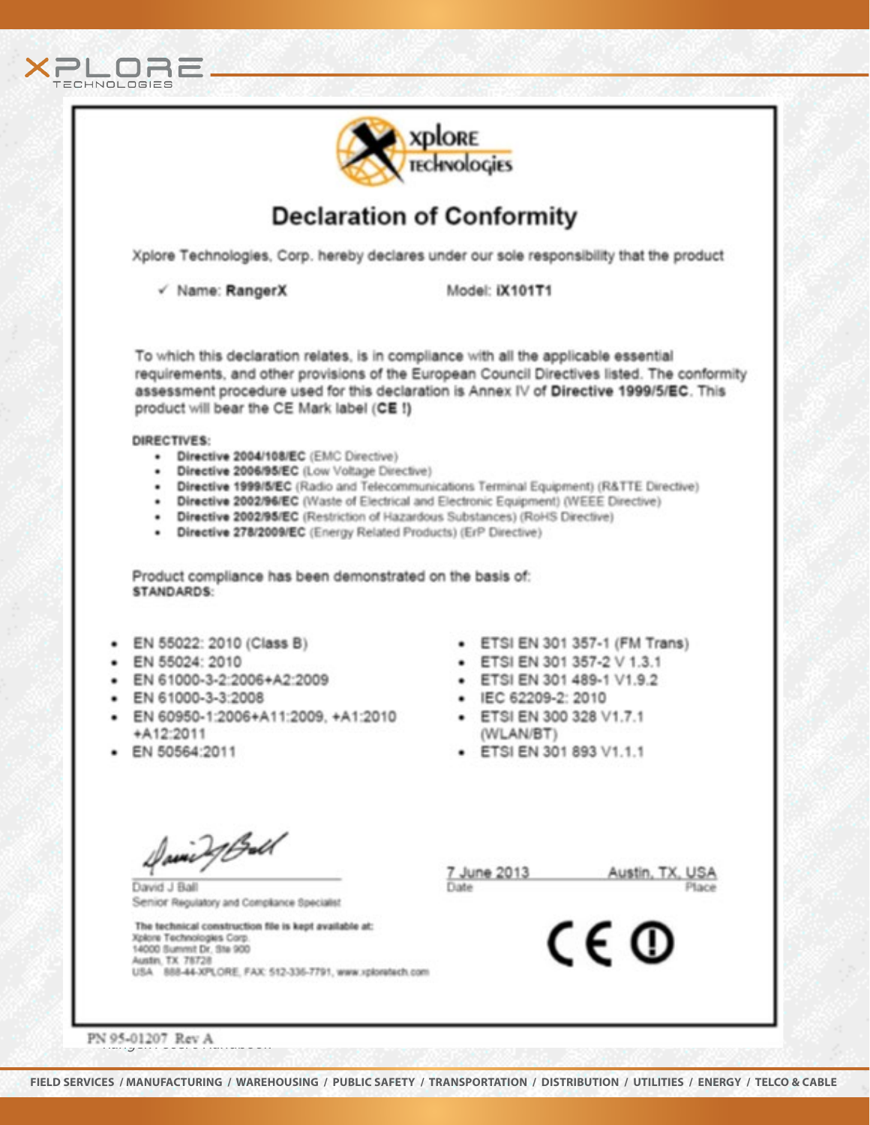



# **Declaration of Conformity**

Xplore Technologies, Corp. hereby declares under our sole responsibility that the product

√ Name: RangerX

Model: IX101T1

To which this declaration relates, is in compliance with all the applicable essential requirements, and other provisions of the European Council Directives listed. The conformity assessment procedure used for this declaration is Annex IV of Directive 1999/5/EC. This product will bear the CE Mark label (CE !)

#### DIRECTIVES:

- · Directive 2004/108/EC (EMC Directive)
- · Directive 2006/95/EC (Low Voltage Directive)
- · Directive 1999/5/EC (Radio and Telecommunications Terminal Equipment) (R&TTE Directive)
- Directive 2002/96/EC (Waste of Electrical and Electronic Equipment) (WEEE Directive)
- · Directive 2002/95/EC (Restriction of Hazardous Substances) (RoHS Directive)
- · Directive 278/2009/EC (Energy Related Products) (ErP Directive)

Product compliance has been demonstrated on the basis of: STANDARDS:

- EN 55022: 2010 (Class B)
- · EN 55024: 2010
- EN 61000-3-2:2006+A2:2009
- EN 61000-3-3:2008
- · EN 60950-1:2006+A11:2009, +A1:2010 +A12:2011
- · EN 50564:2011
- ETSI EN 301 357-1 (FM Trans)
- ETSI EN 301 357-2 V 1.3.1
- ETSI EN 301 489-1 V1.9.2
- · IEC 62209-2: 2010
- ETSI EN 300 328 V1.7.1 (WLAN/BT)
- · ETSI EN 301 893 V1.1.1

David J Ball

David J Ball Senior Regulatory and Compliance Specialist

The technical construction file is kept available at: Xplore Technologies Corp. 14000 Summit Dr. Ste 900 Austin, TX 78728 USA 888-44-XPLORE, FAX: 512-336-7791, www.xploretech.com

7 June 2013 Date

Austin, TX, USA Place

CE ®

PN 95-01207 Rev A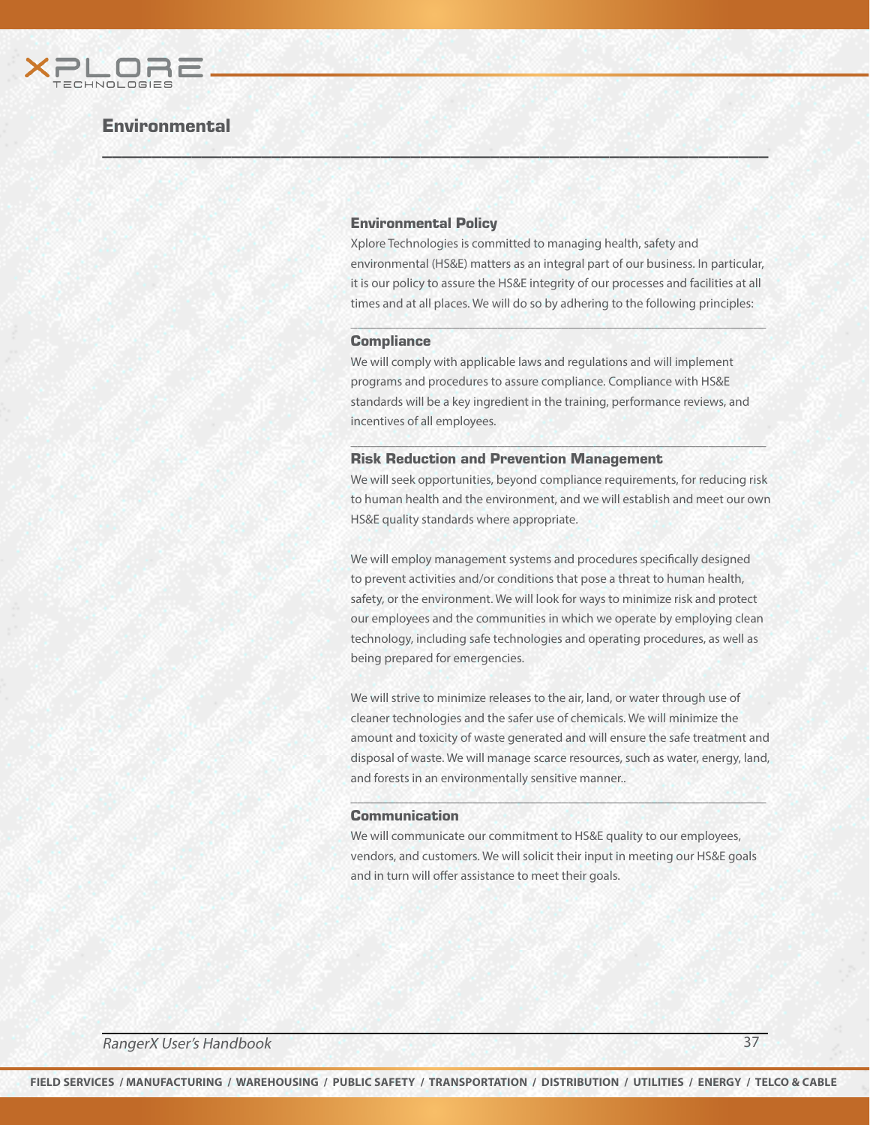

## **Environmental**

#### Environmental Policy

 $W \subseteq M$  , we have a set of  $M$  , and  $M$  , and  $M$  , and  $M$  , and  $M$  , and  $M$  , and  $M$ 

Xplore Technologies is committed to managing health, safety and environmental (HS&E) matters as an integral part of our business. In particular, it is our policy to assure the HS&E integrity of our processes and facilities at all times and at all places. We will do so by adhering to the following principles:

 $\mathcal{P} \cup \mathcal{P} \cup \mathcal{P} \cup \mathcal{P} \cup \mathcal{P} \cup \mathcal{P} \cup \mathcal{P} \cup \mathcal{P} \cup \mathcal{P} \cup \mathcal{P} \cup \mathcal{P} \cup \mathcal{P} \cup \mathcal{P} \cup \mathcal{P} \cup \mathcal{P} \cup \mathcal{P} \cup \mathcal{P} \cup \mathcal{P} \cup \mathcal{P} \cup \mathcal{P} \cup \mathcal{P} \cup \mathcal{P} \cup \mathcal{P} \cup \mathcal{P} \cup \mathcal{P} \cup \mathcal{P} \cup \mathcal{P} \cup \mathcal{$ 

#### **Compliance**

We will comply with applicable laws and regulations and will implement programs and procedures to assure compliance. Compliance with HS&E standards will be a key ingredient in the training, performance reviews, and incentives of all employees.

#### Risk Reduction and Prevention Management

We will seek opportunities, beyond compliance requirements, for reducing risk to human health and the environment, and we will establish and meet our own HS&E quality standards where appropriate.

\_\_\_\_\_\_\_\_\_\_\_\_\_\_\_\_\_\_\_\_\_\_\_\_\_\_\_\_\_\_\_\_\_\_\_\_\_\_\_\_\_\_\_\_\_\_\_\_\_\_\_\_\_\_\_\_\_\_\_\_\_\_\_\_\_

We will employ management systems and procedures specifically designed to prevent activities and/or conditions that pose a threat to human health, safety, or the environment. We will look for ways to minimize risk and protect our employees and the communities in which we operate by employing clean technology, including safe technologies and operating procedures, as well as being prepared for emergencies.

We will strive to minimize releases to the air, land, or water through use of cleaner technologies and the safer use of chemicals. We will minimize the amount and toxicity of waste generated and will ensure the safe treatment and disposal of waste. We will manage scarce resources, such as water, energy, land, and forests in an environmentally sensitive manner..

\_\_\_\_\_\_\_\_\_\_\_\_\_\_\_\_\_\_\_\_\_\_\_\_\_\_\_\_\_\_\_\_\_\_\_\_\_\_\_\_\_\_\_\_\_\_\_\_\_\_\_\_\_\_\_\_\_\_\_\_\_\_\_\_\_

#### Communication

We will communicate our commitment to HS&E quality to our employees, vendors, and customers. We will solicit their input in meeting our HS&E goals and in turn will offer assistance to meet their goals.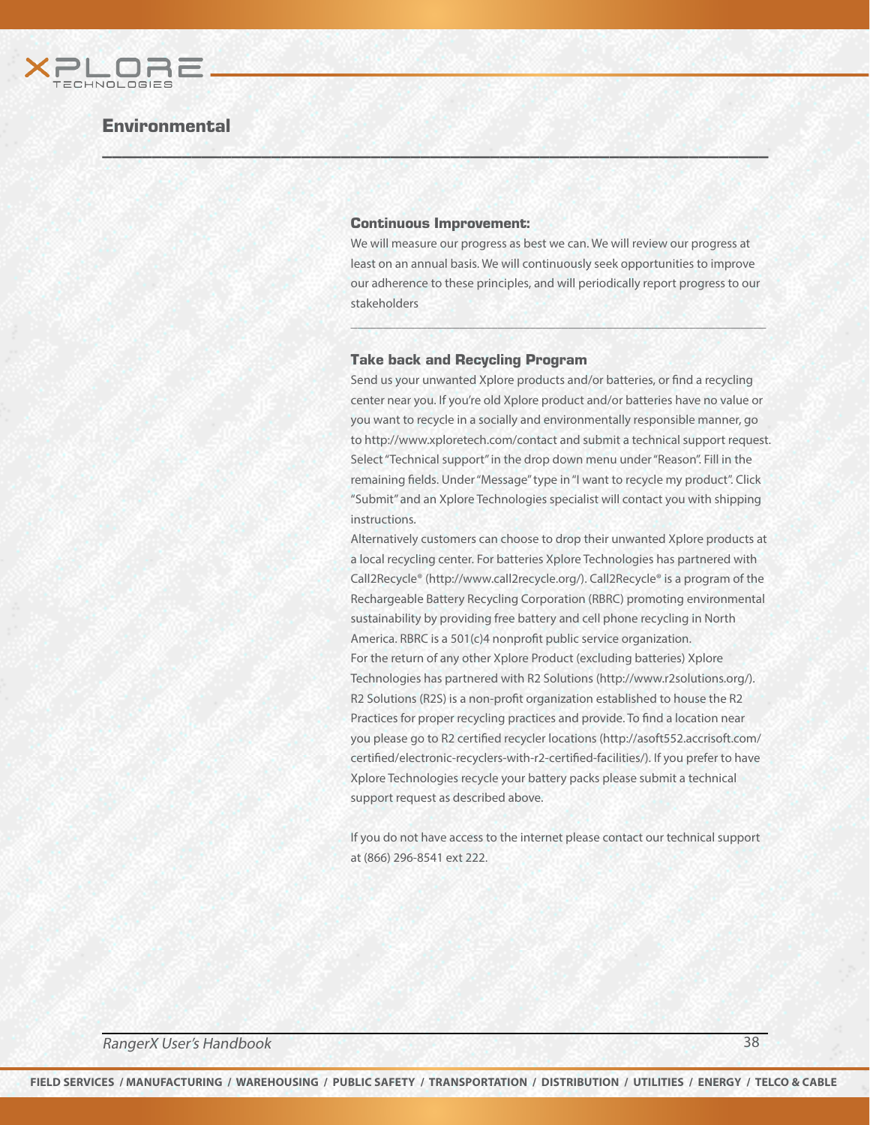

## **Environmental**

#### Continuous Improvement:

 $W \subseteq M$  , we have a set of  $M$  , and  $M$  , and  $M$  , and  $M$  , and  $M$  , and  $M$  , and  $M$ 

We will measure our progress as best we can. We will review our progress at least on an annual basis. We will continuously seek opportunities to improve our adherence to these principles, and will periodically report progress to our stakeholders

 $\mathcal{P} \cup \mathcal{P} \cup \mathcal{P} \cup \mathcal{P} \cup \mathcal{P} \cup \mathcal{P} \cup \mathcal{P} \cup \mathcal{P} \cup \mathcal{P} \cup \mathcal{P} \cup \mathcal{P} \cup \mathcal{P} \cup \mathcal{P} \cup \mathcal{P} \cup \mathcal{P} \cup \mathcal{P} \cup \mathcal{P} \cup \mathcal{P} \cup \mathcal{P} \cup \mathcal{P} \cup \mathcal{P} \cup \mathcal{P} \cup \mathcal{P} \cup \mathcal{P} \cup \mathcal{P} \cup \mathcal{P} \cup \mathcal{P} \cup \mathcal{$ 

#### Take back and Recycling Program

Send us your unwanted Xplore products and/or batteries, or find a recycling center near you. If you're old Xplore product and/or batteries have no value or you want to recycle in a socially and environmentally responsible manner, go to http://www.xploretech.com/contact and submit a technical support request. Select "Technical support" in the drop down menu under "Reason". Fill in the remaining fields. Under "Message" type in "I want to recycle my product". Click "Submit" and an Xplore Technologies specialist will contact you with shipping instructions.

Alternatively customers can choose to drop their unwanted Xplore products at a local recycling center. For batteries Xplore Technologies has partnered with Call2Recycle® (http://www.call2recycle.org/). Call2Recycle® is a program of the Rechargeable Battery Recycling Corporation (RBRC) promoting environmental sustainability by providing free battery and cell phone recycling in North America. RBRC is a 501(c)4 nonprofit public service organization. For the return of any other Xplore Product (excluding batteries) Xplore Technologies has partnered with R2 Solutions (http://www.r2solutions.org/). R2 Solutions (R2S) is a non-profit organization established to house the R2 Practices for proper recycling practices and provide. To find a location near you please go to R2 certified recycler locations (http://asoft552.accrisoft.com/ certified/electronic-recyclers-with-r2-certified-facilities/). If you prefer to have Xplore Technologies recycle your battery packs please submit a technical support request as described above.

If you do not have access to the internet please contact our technical support at (866) 296-8541 ext 222.